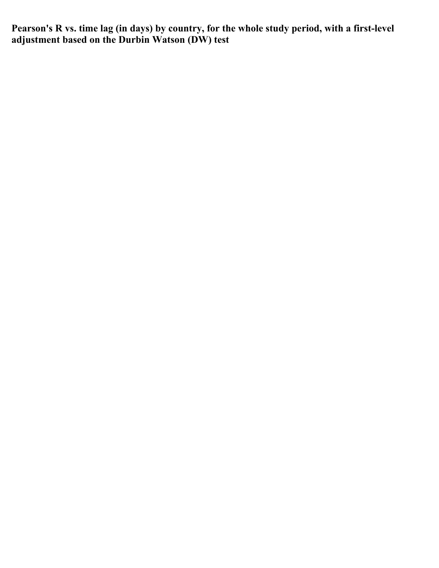**Pearson's R vs. time lag (in days) by country, for the whole study period, with a first-level adjustment based on the Durbin Watson (DW) test**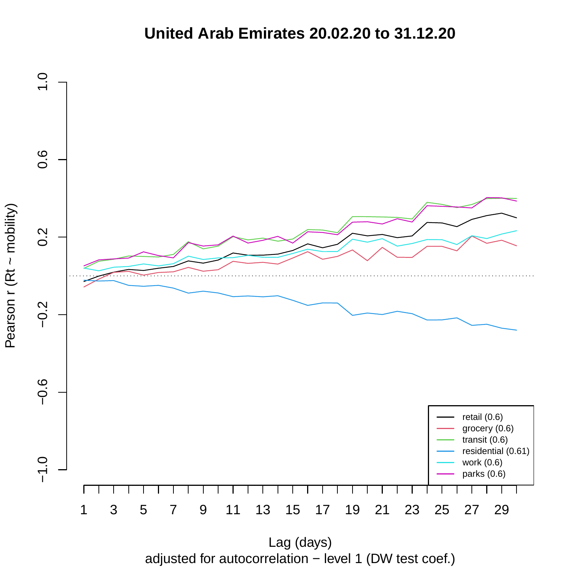## **United Arab Emirates 20.02.20 to 31.12.20**



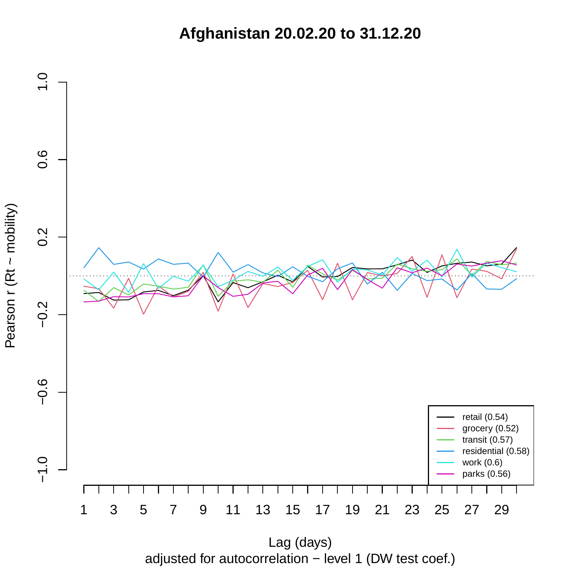**Afghanistan 20.02.20 to 31.12.20**

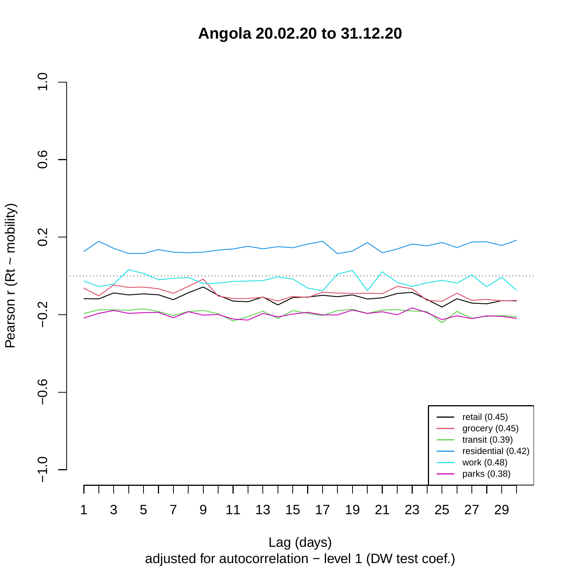**Angola 20.02.20 to 31.12.20**

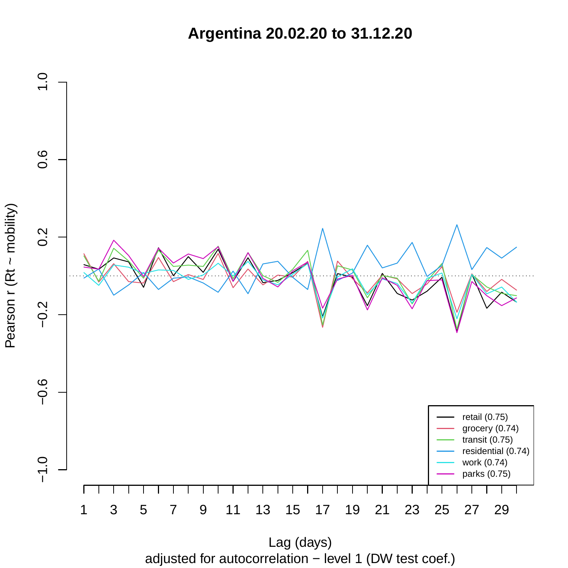**Argentina 20.02.20 to 31.12.20**



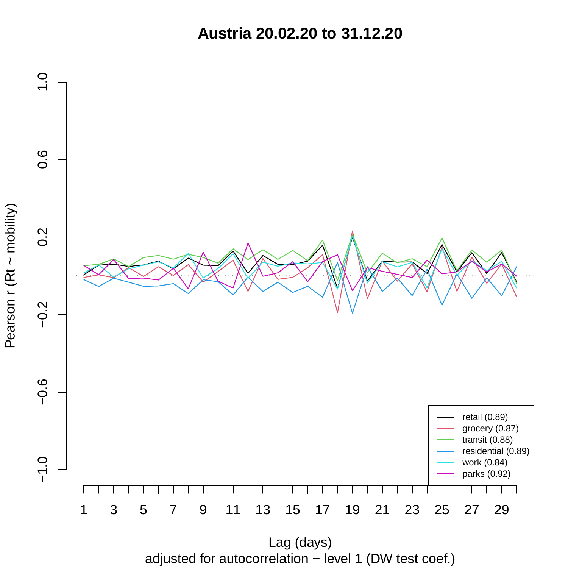**Austria 20.02.20 to 31.12.20**



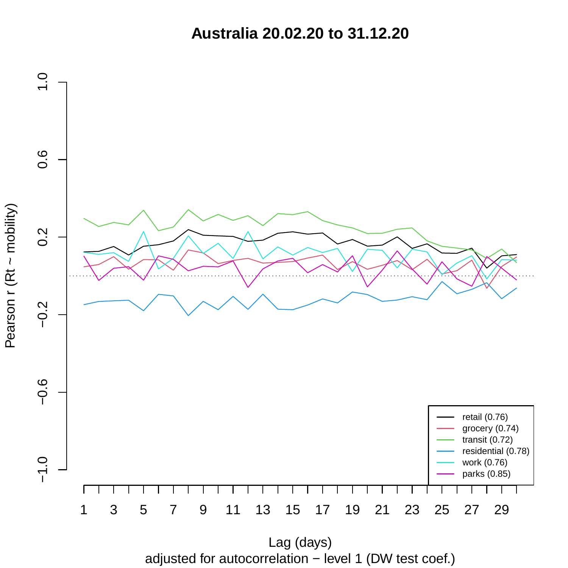**Australia 20.02.20 to 31.12.20**



adjusted for autocorrelation − level 1 (DW test coef.) Lag (days)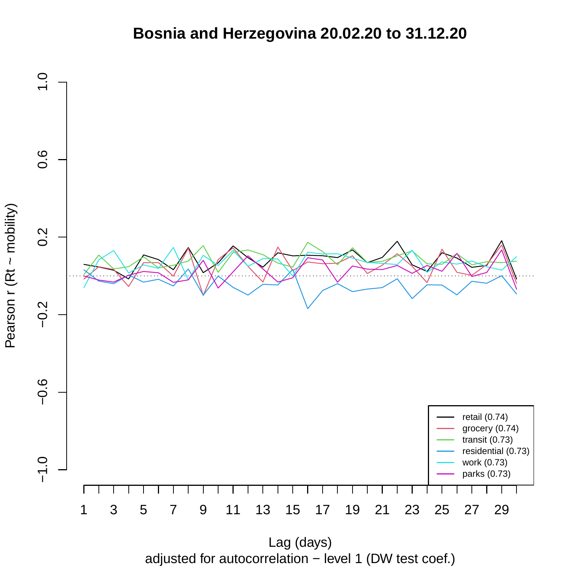## **Bosnia and Herzegovina 20.02.20 to 31.12.20**



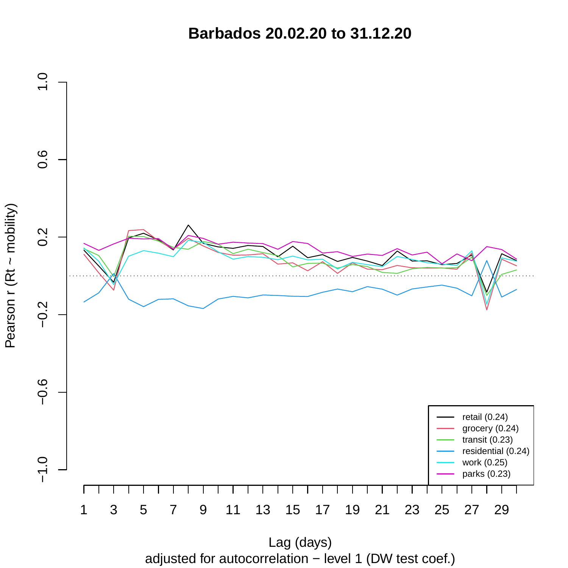**Barbados 20.02.20 to 31.12.20**

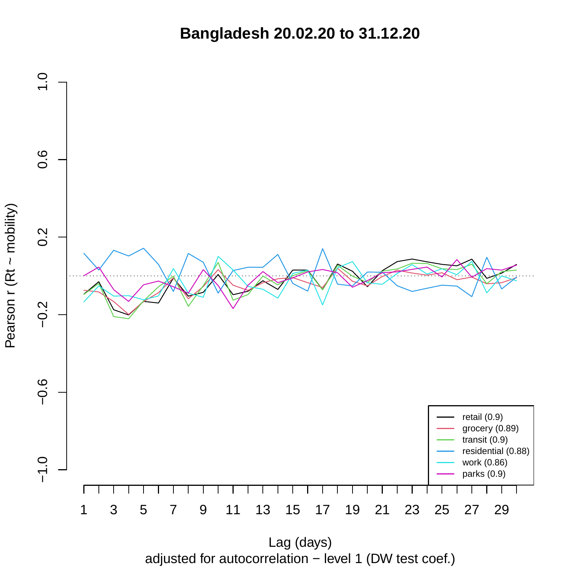**Bangladesh 20.02.20 to 31.12.20**



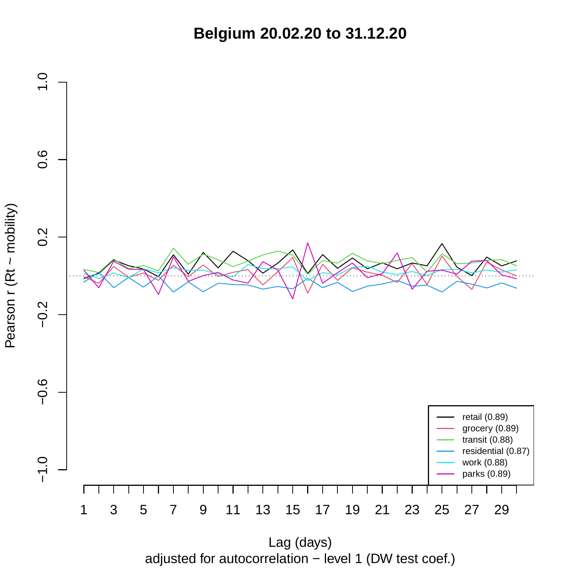**Belgium 20.02.20 to 31.12.20**



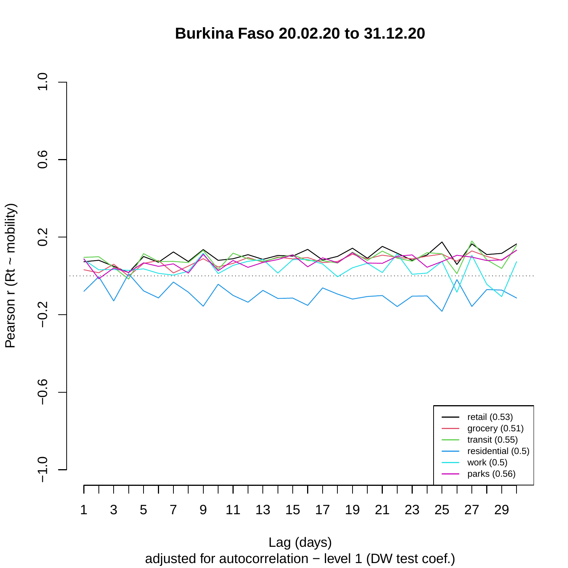**Burkina Faso 20.02.20 to 31.12.20**



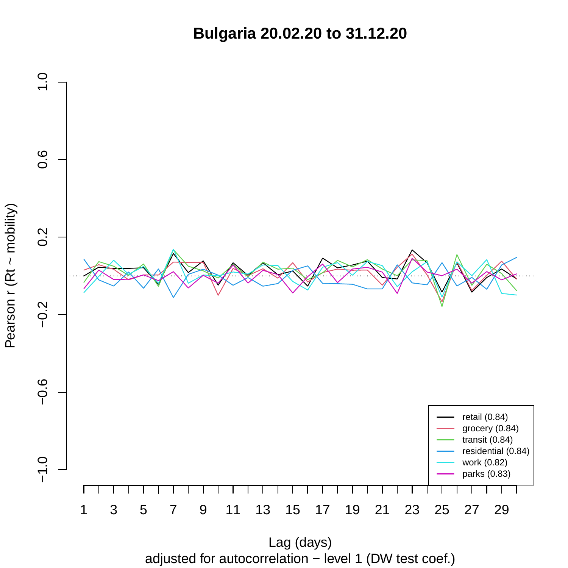**Bulgaria 20.02.20 to 31.12.20**



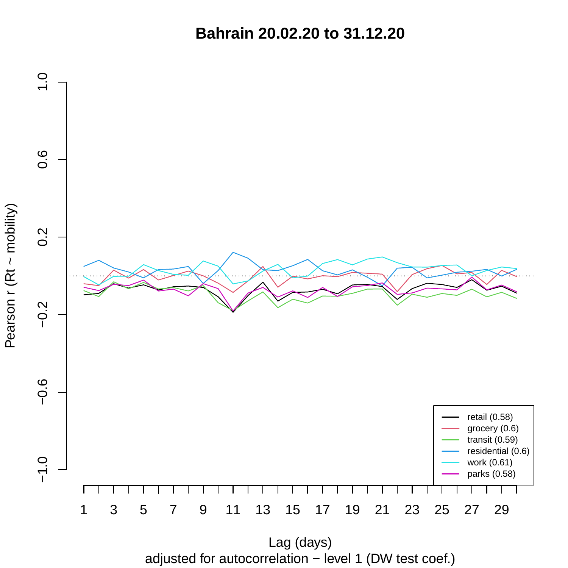**Bahrain 20.02.20 to 31.12.20**



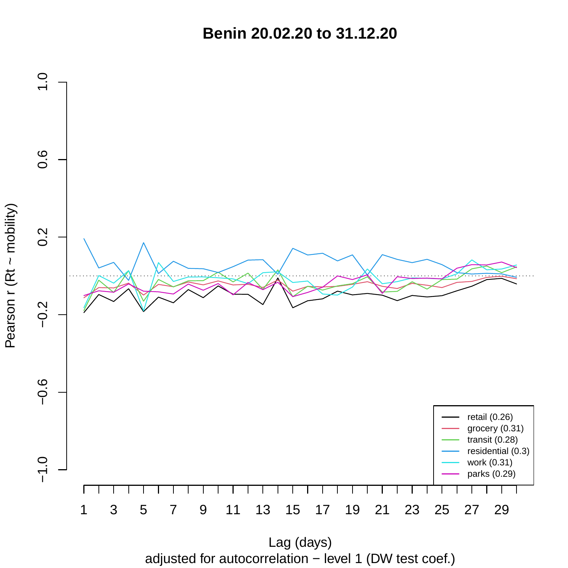**Benin 20.02.20 to 31.12.20**



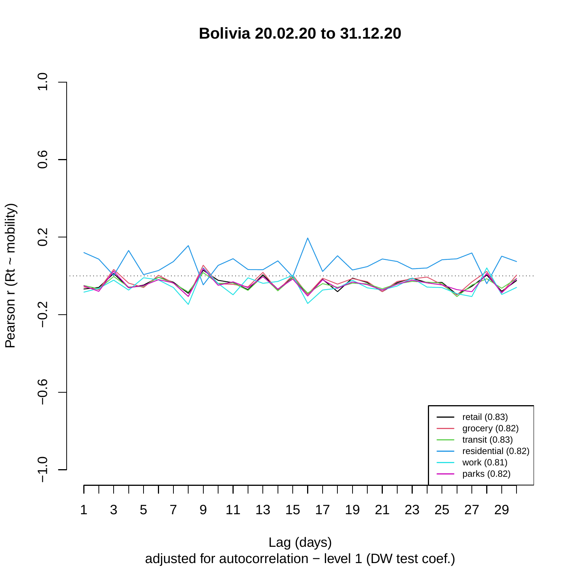**Bolivia 20.02.20 to 31.12.20**



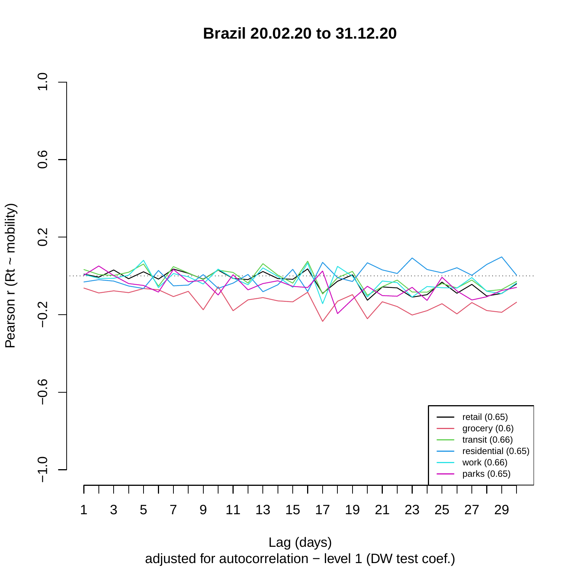**Brazil 20.02.20 to 31.12.20**



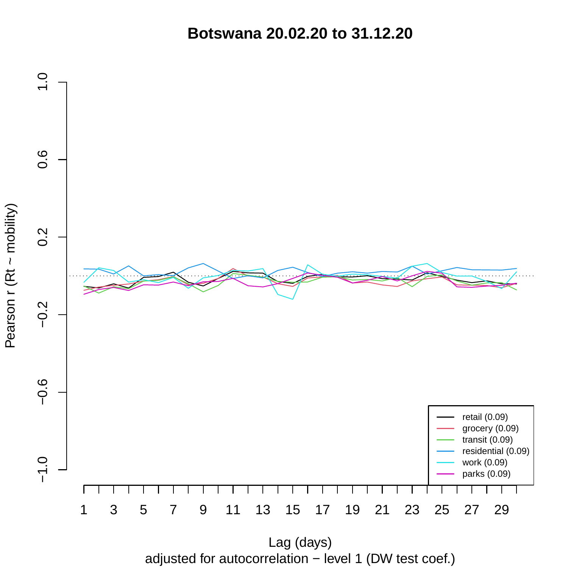**Botswana 20.02.20 to 31.12.20**



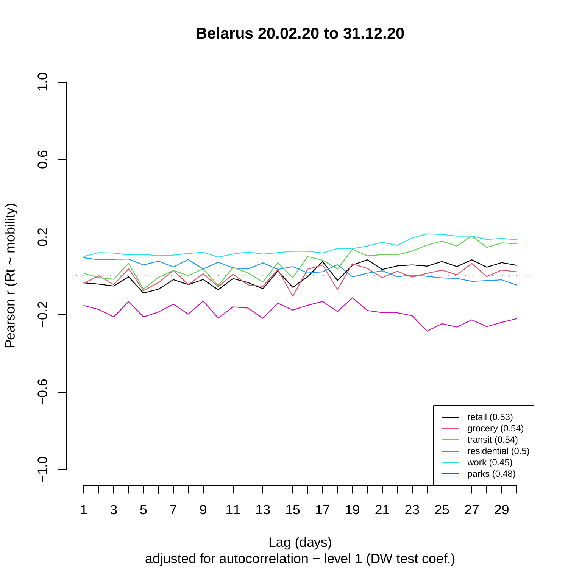**Belarus 20.02.20 to 31.12.20**



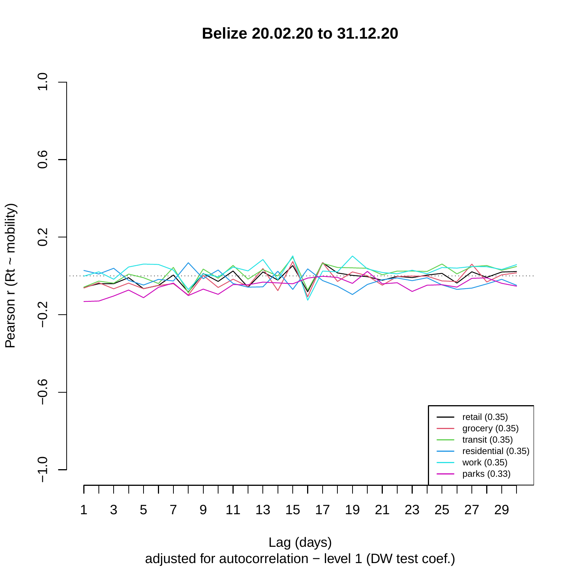**Belize 20.02.20 to 31.12.20**



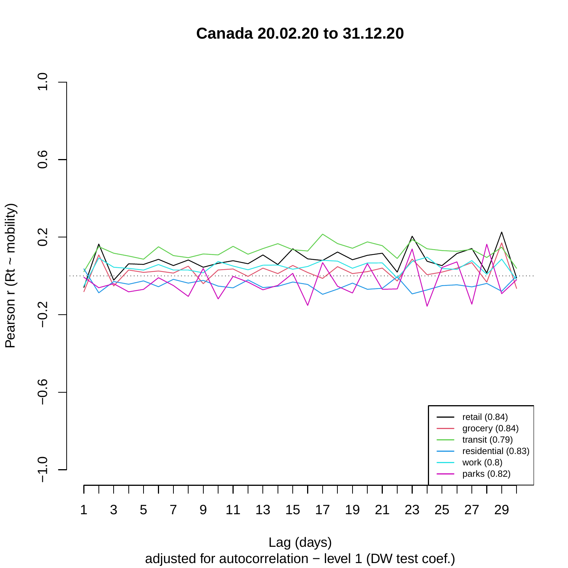**Canada 20.02.20 to 31.12.20**



Pearson r (Rt ~ mobility)

adjusted for autocorrelation − level 1 (DW test coef.) Lag (days)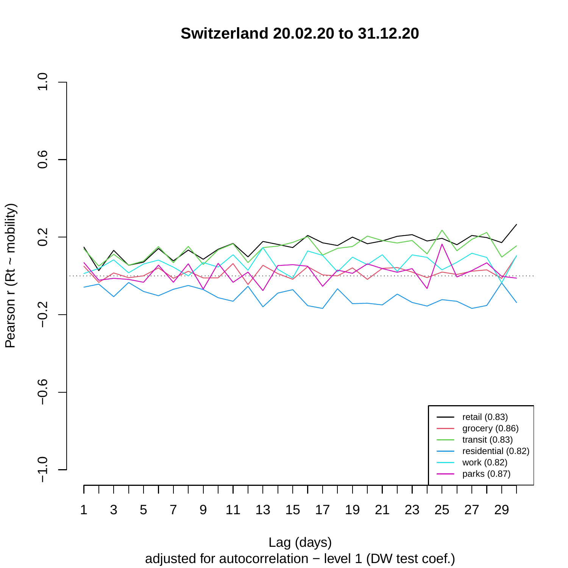**Switzerland 20.02.20 to 31.12.20**



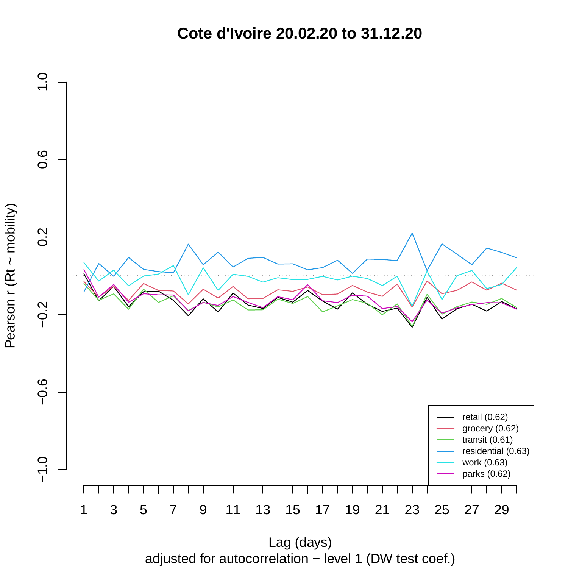**Cote d'Ivoire 20.02.20 to 31.12.20**



adjusted for autocorrelation − level 1 (DW test coef.) Lag (days)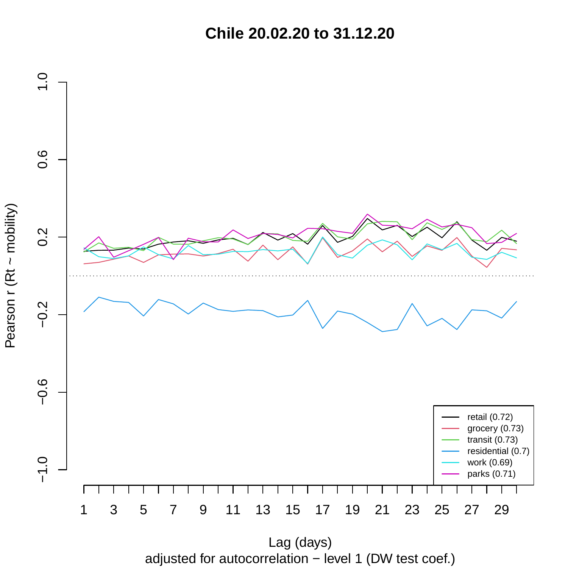**Chile 20.02.20 to 31.12.20**



adjusted for autocorrelation − level 1 (DW test coef.)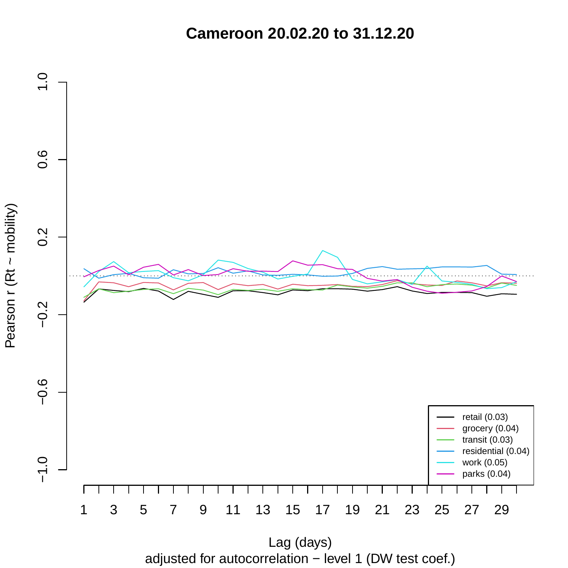**Cameroon 20.02.20 to 31.12.20**



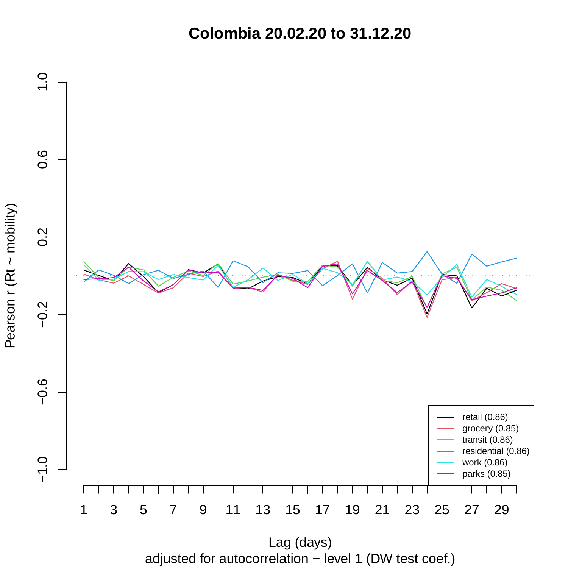**Colombia 20.02.20 to 31.12.20**



adjusted for autocorrelation − level 1 (DW test coef.) Lag (days)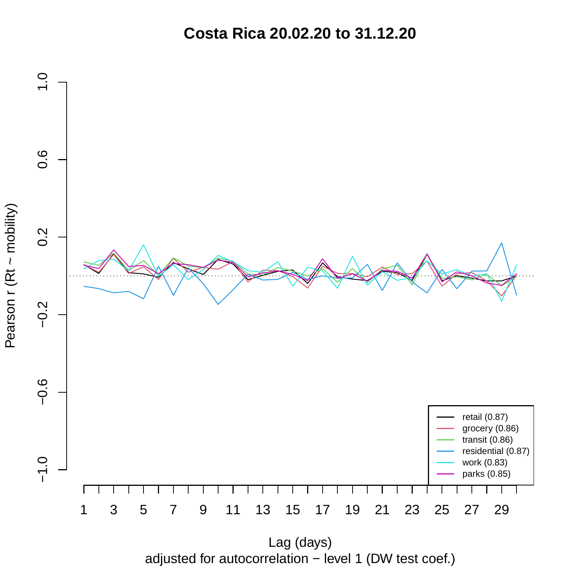**Costa Rica 20.02.20 to 31.12.20**



Pearson r (Rt ~ mobility)

adjusted for autocorrelation − level 1 (DW test coef.)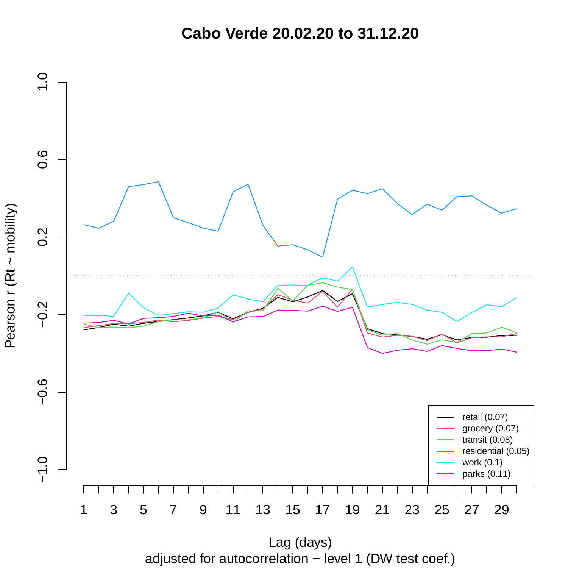**Cabo Verde 20.02.20 to 31.12.20**

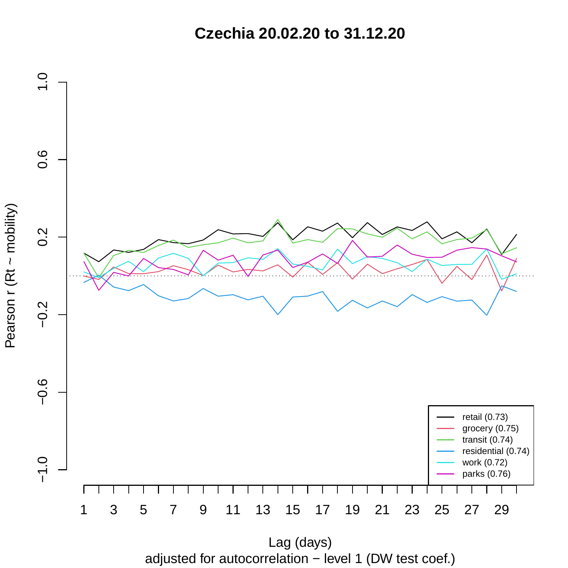**Czechia 20.02.20 to 31.12.20**



adjusted for autocorrelation − level 1 (DW test coef.) Lag (days)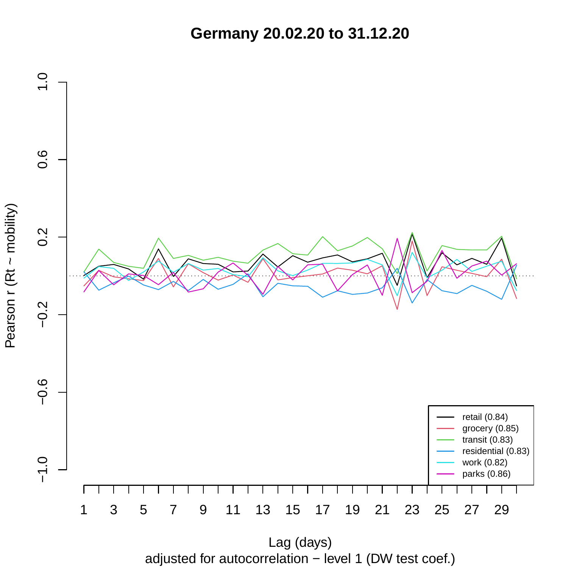**Germany 20.02.20 to 31.12.20**



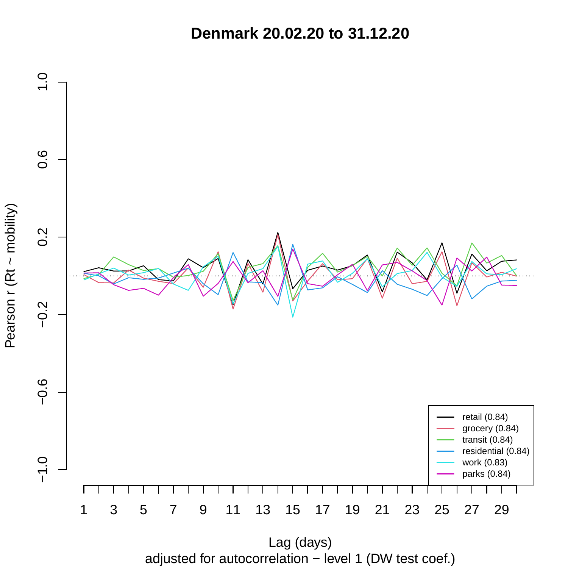**Denmark 20.02.20 to 31.12.20**

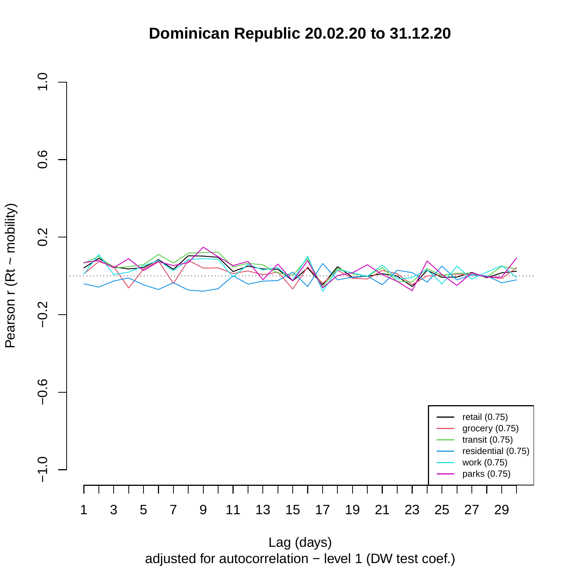## **Dominican Republic 20.02.20 to 31.12.20**

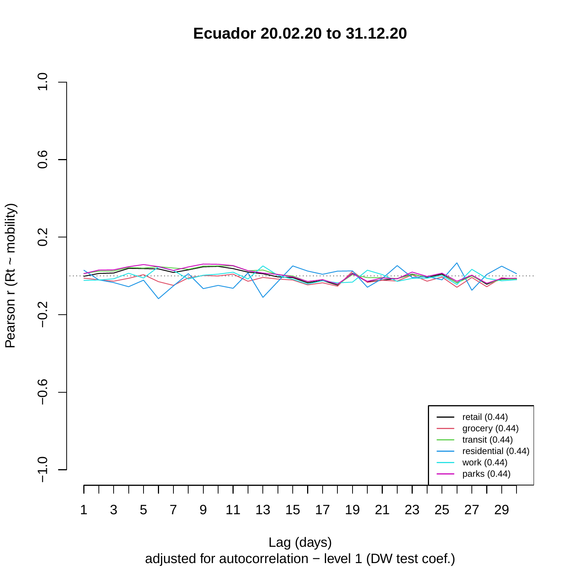**Ecuador 20.02.20 to 31.12.20**



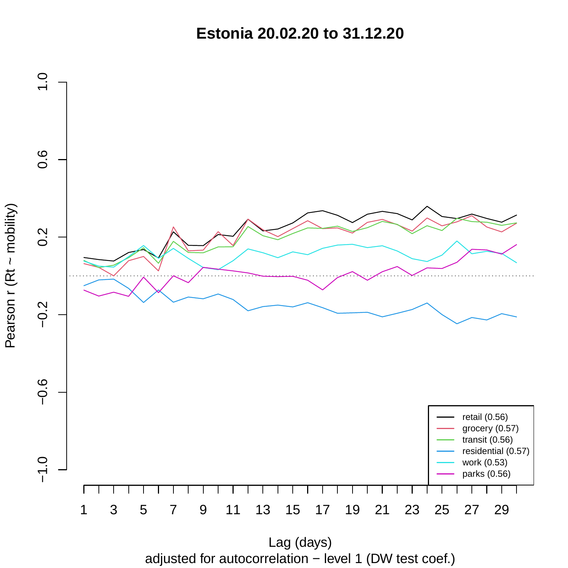**Estonia 20.02.20 to 31.12.20**



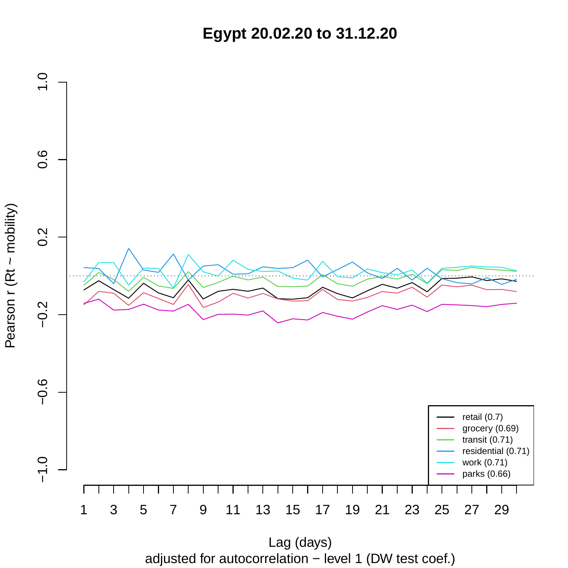**Egypt 20.02.20 to 31.12.20**



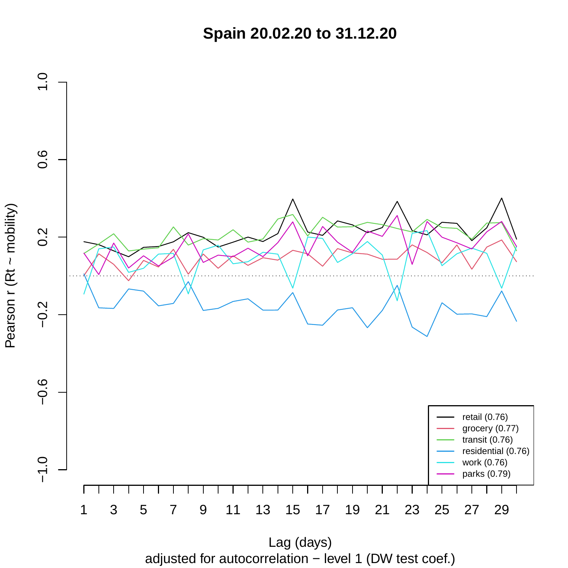**Spain 20.02.20 to 31.12.20**



adjusted for autocorrelation − level 1 (DW test coef.) Lag (days)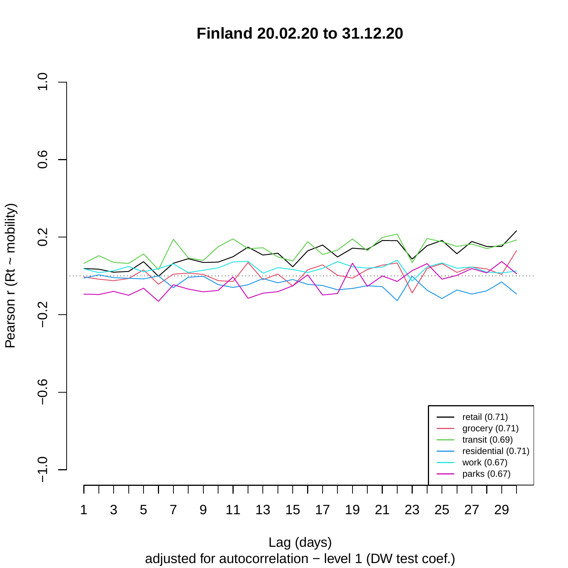**Finland 20.02.20 to 31.12.20**



Pearson r (Rt ~ mobility)

adjusted for autocorrelation − level 1 (DW test coef.) Lag (days)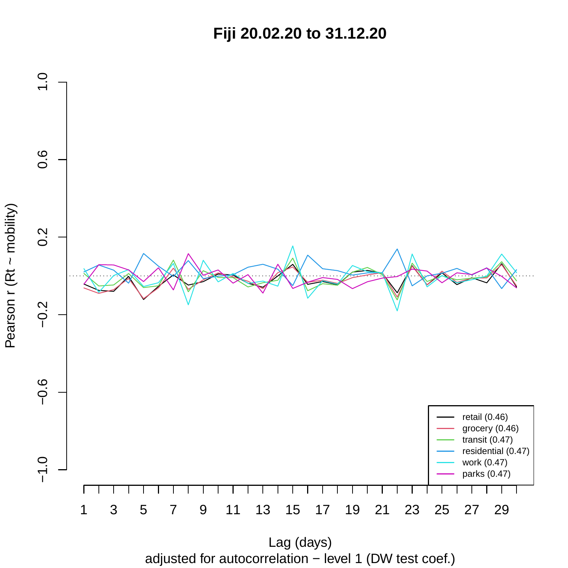**Fiji 20.02.20 to 31.12.20**



adjusted for autocorrelation − level 1 (DW test coef.)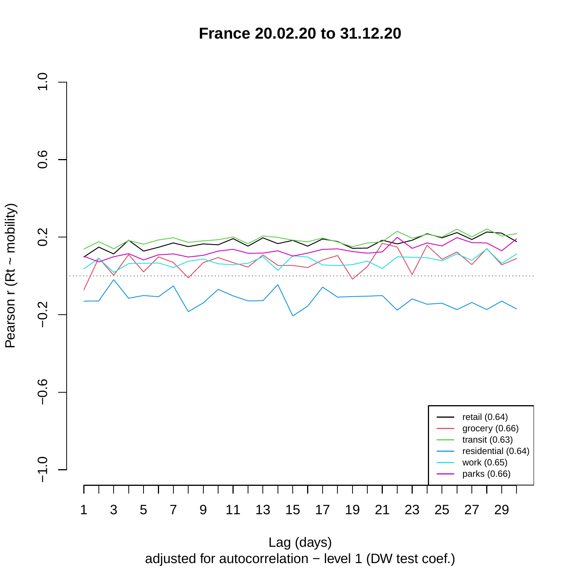**France 20.02.20 to 31.12.20**



adjusted for autocorrelation − level 1 (DW test coef.)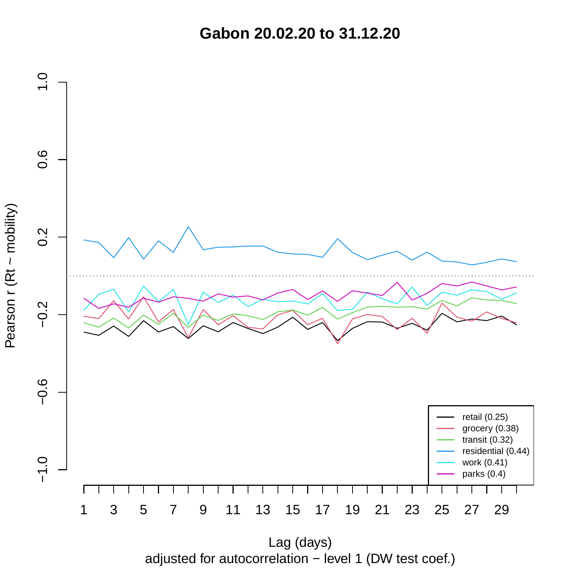**Gabon 20.02.20 to 31.12.20**



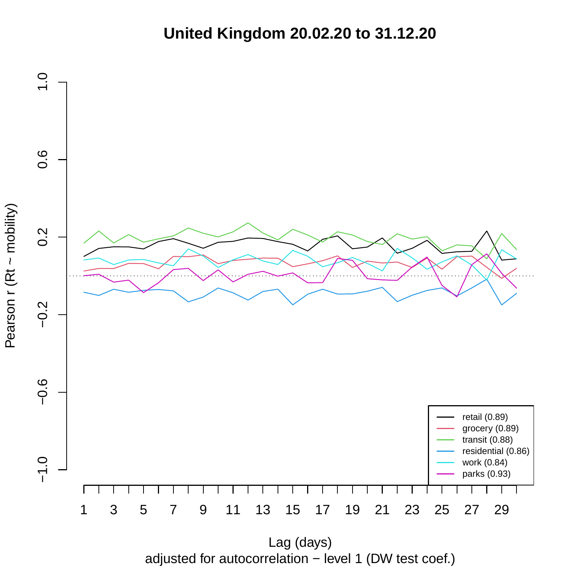**United Kingdom 20.02.20 to 31.12.20**



adjusted for autocorrelation − level 1 (DW test coef.)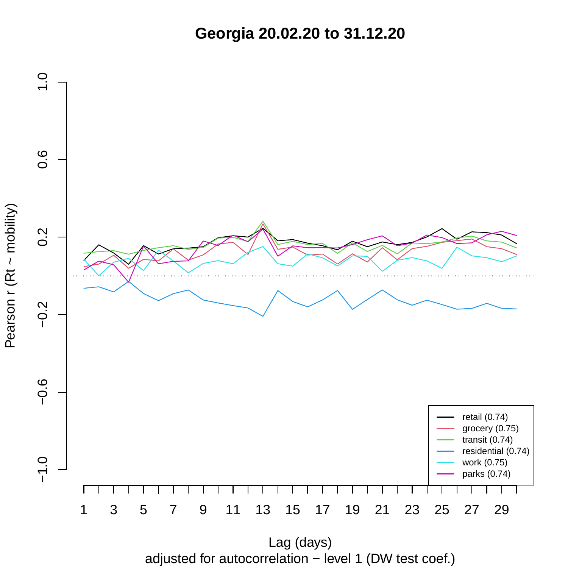**Georgia 20.02.20 to 31.12.20**



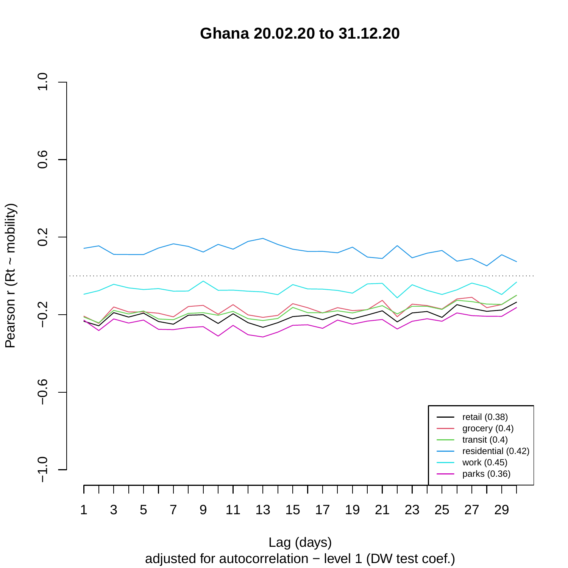**Ghana 20.02.20 to 31.12.20**



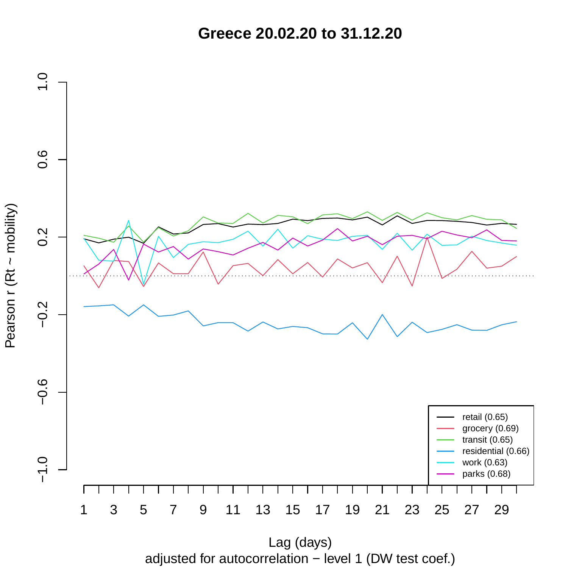**Greece 20.02.20 to 31.12.20**



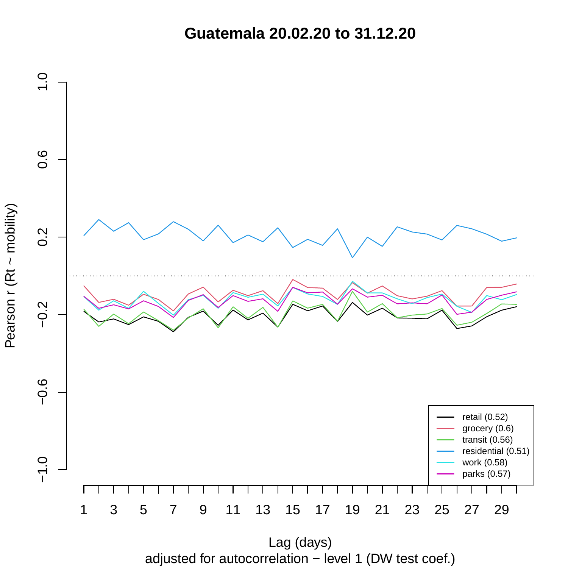**Guatemala 20.02.20 to 31.12.20**



adjusted for autocorrelation − level 1 (DW test coef.) Lag (days)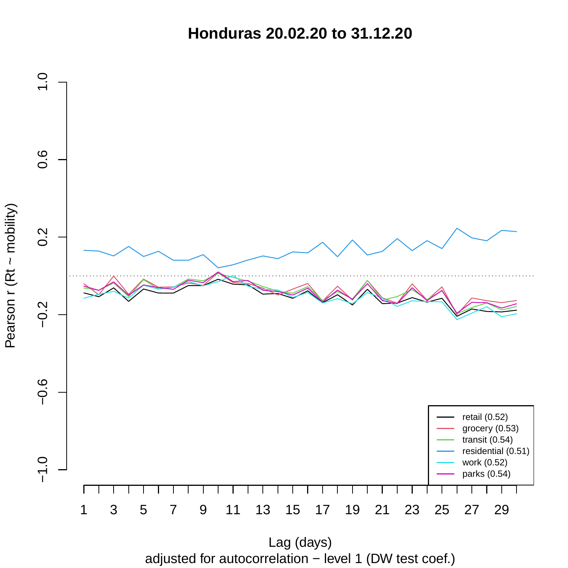**Honduras 20.02.20 to 31.12.20**



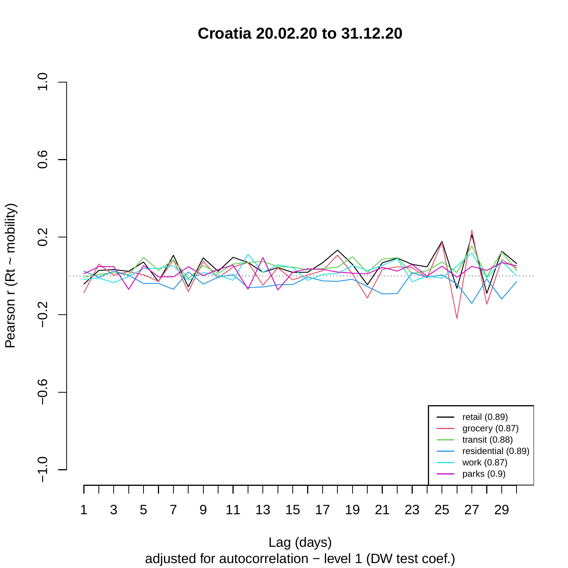**Croatia 20.02.20 to 31.12.20**



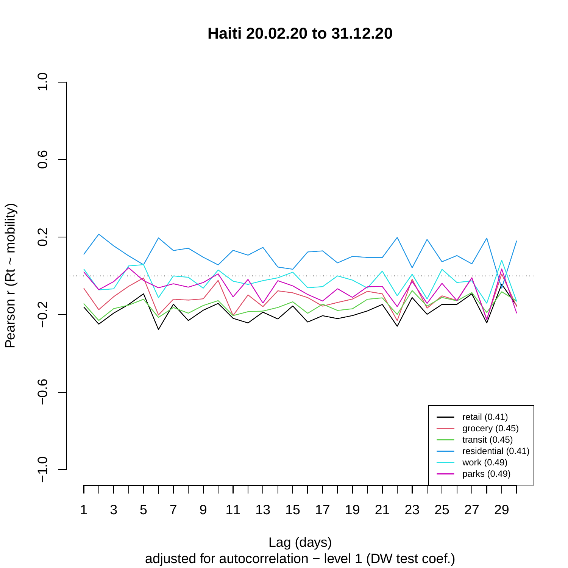**Haiti 20.02.20 to 31.12.20**



adjusted for autocorrelation − level 1 (DW test coef.) Lag (days)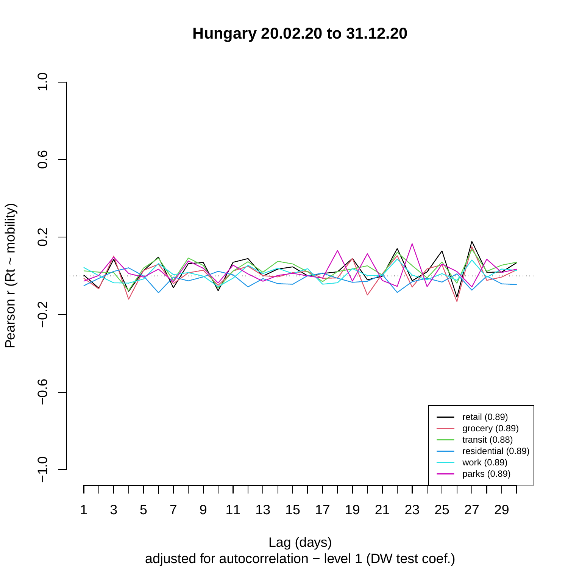**Hungary 20.02.20 to 31.12.20**



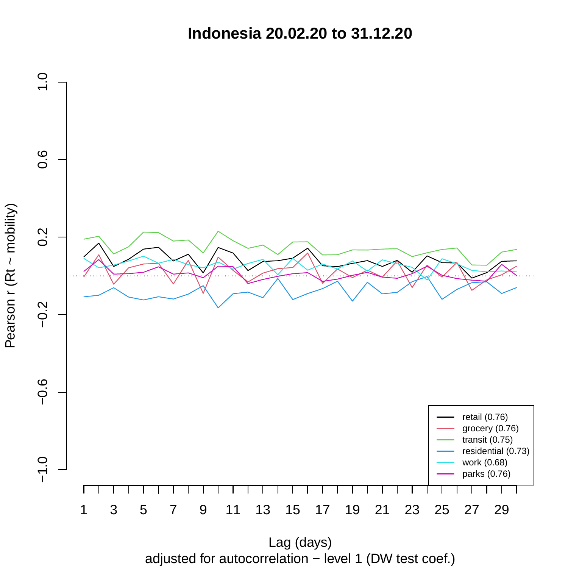**Indonesia 20.02.20 to 31.12.20**



adjusted for autocorrelation − level 1 (DW test coef.) Lag (days)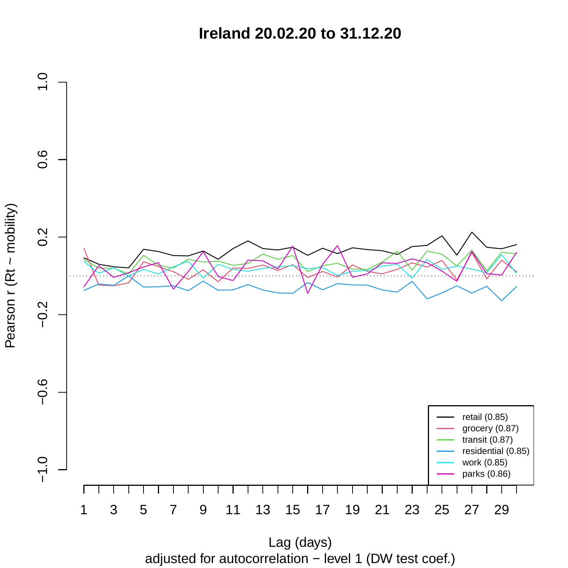**Ireland 20.02.20 to 31.12.20**



adjusted for autocorrelation − level 1 (DW test coef.)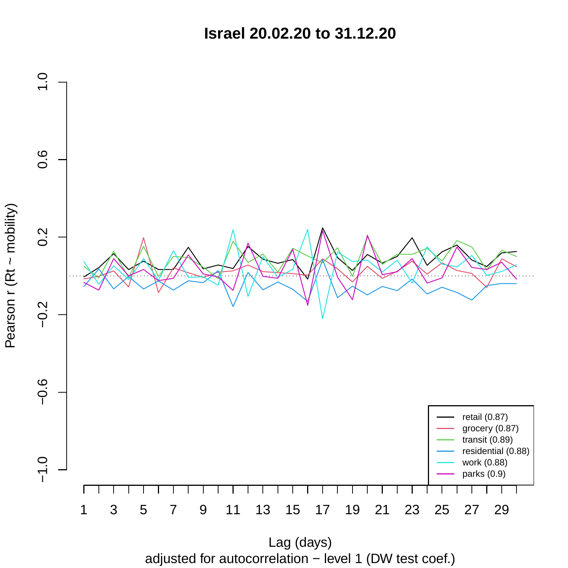**Israel 20.02.20 to 31.12.20**



adjusted for autocorrelation − level 1 (DW test coef.) Lag (days)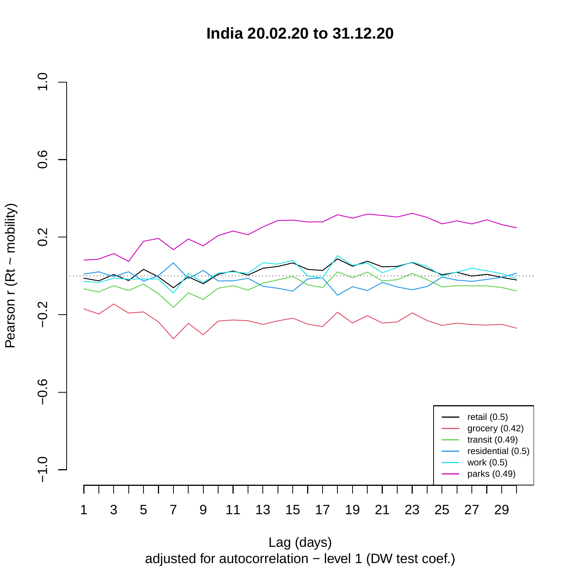**India 20.02.20 to 31.12.20**



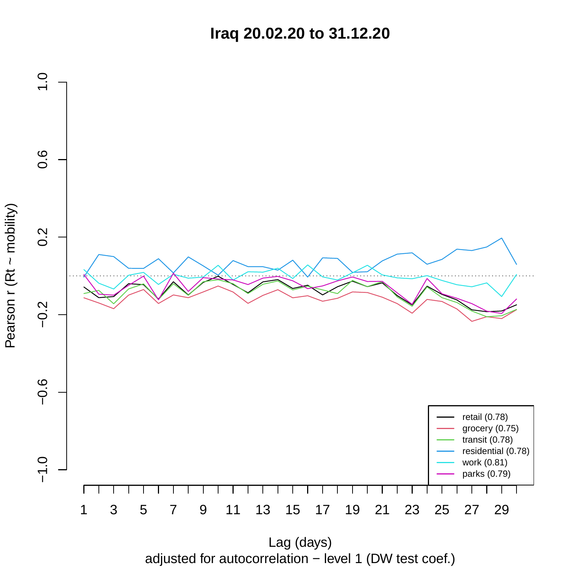**Iraq 20.02.20 to 31.12.20**



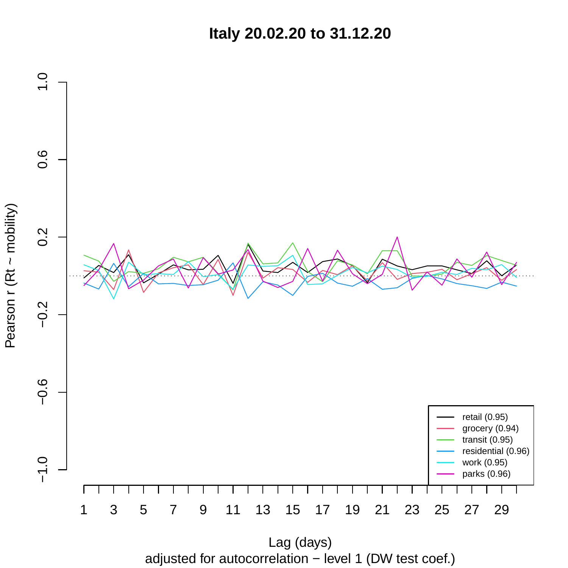**Italy 20.02.20 to 31.12.20**



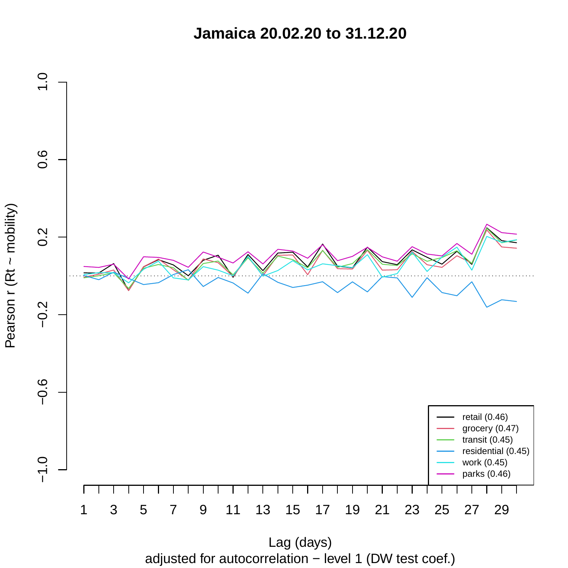**Jamaica 20.02.20 to 31.12.20**



adjusted for autocorrelation − level 1 (DW test coef.)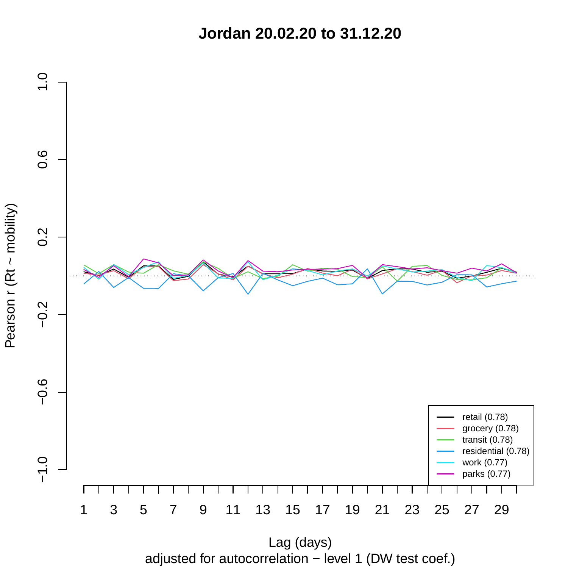**Jordan 20.02.20 to 31.12.20**



Pearson r (Rt ~ mobility)

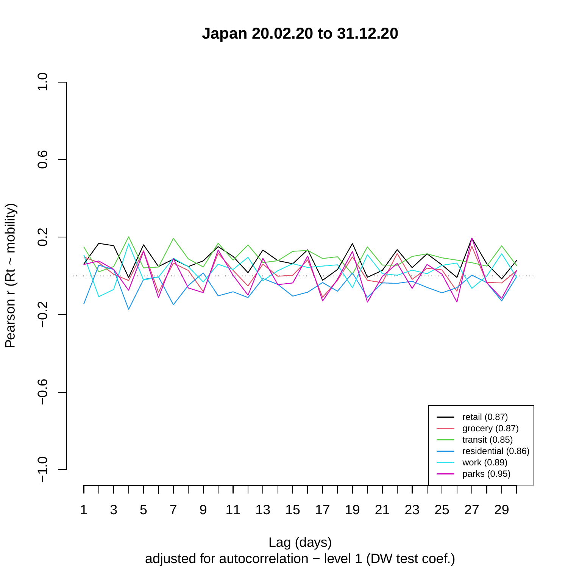**Japan 20.02.20 to 31.12.20**



adjusted for autocorrelation − level 1 (DW test coef.)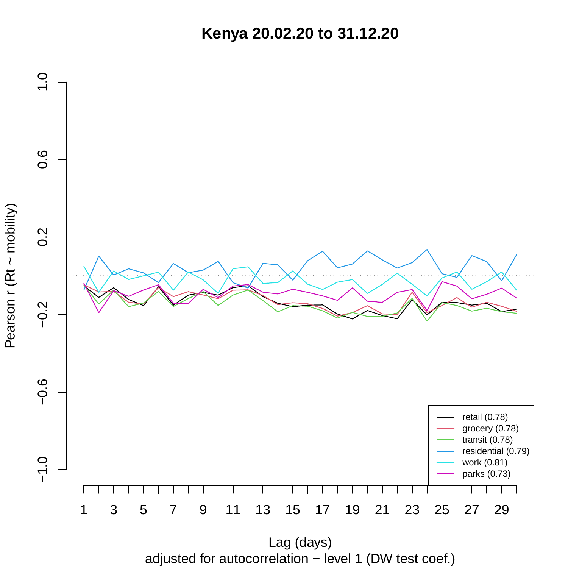**Kenya 20.02.20 to 31.12.20**



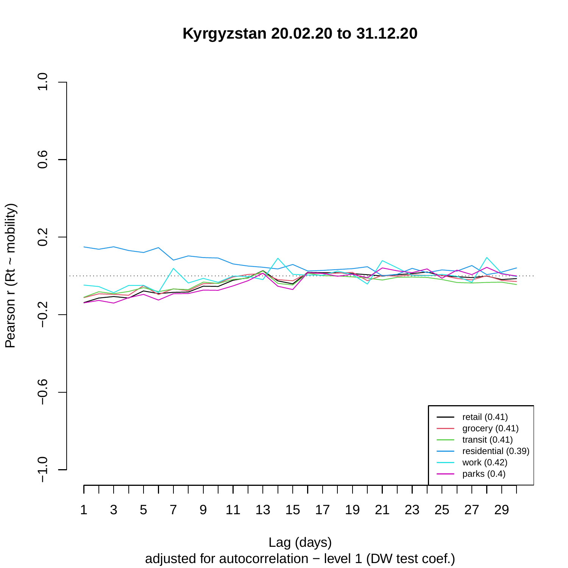**Kyrgyzstan 20.02.20 to 31.12.20**



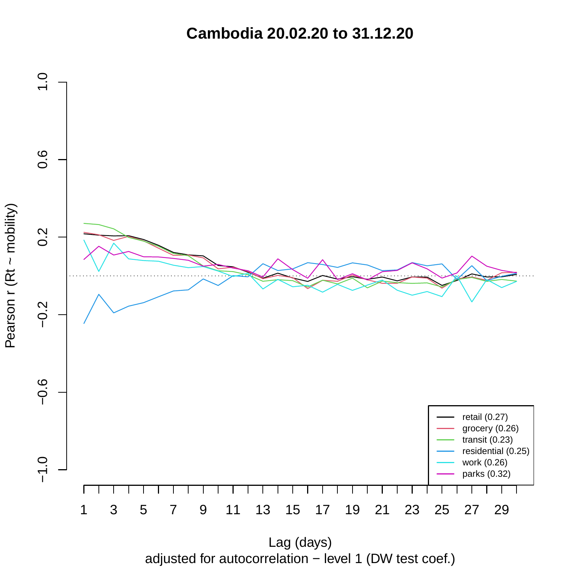**Cambodia 20.02.20 to 31.12.20**



Pearson r (Rt ~ mobility)

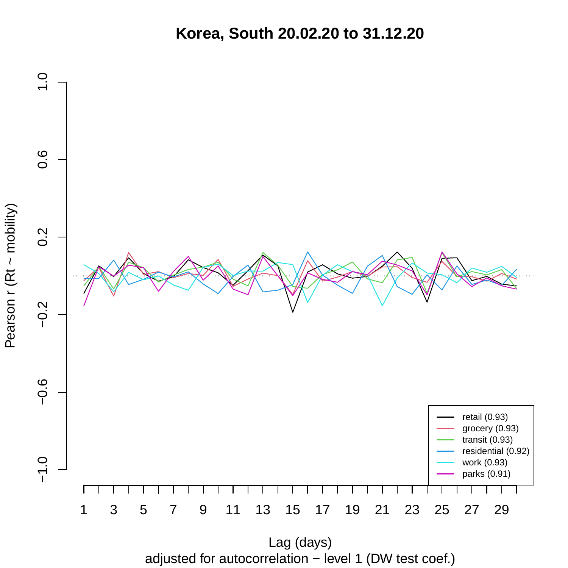**Korea, South 20.02.20 to 31.12.20**



adjusted for autocorrelation − level 1 (DW test coef.)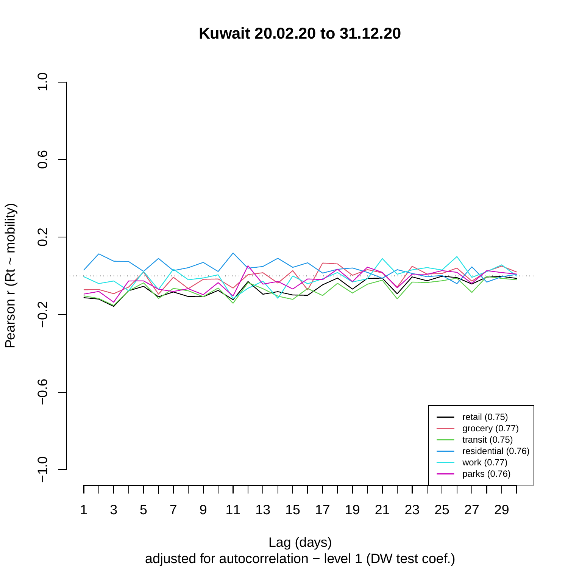**Kuwait 20.02.20 to 31.12.20**



adjusted for autocorrelation − level 1 (DW test coef.)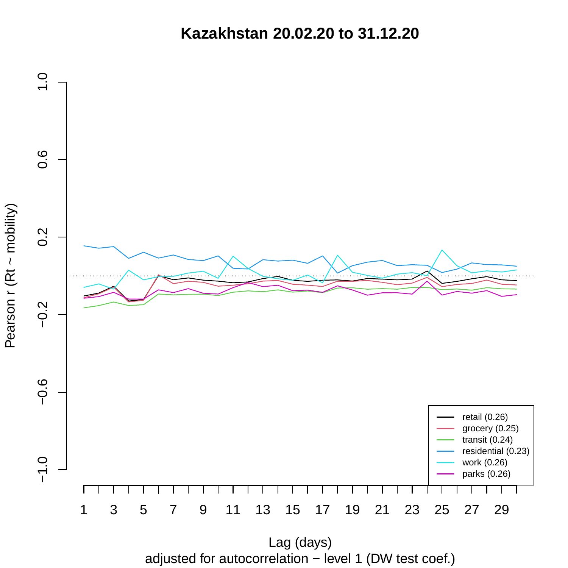**Kazakhstan 20.02.20 to 31.12.20**



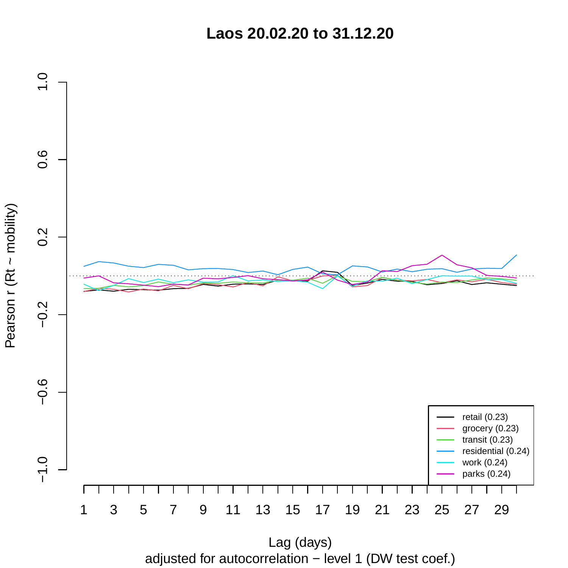**Laos 20.02.20 to 31.12.20**



adjusted for autocorrelation − level 1 (DW test coef.)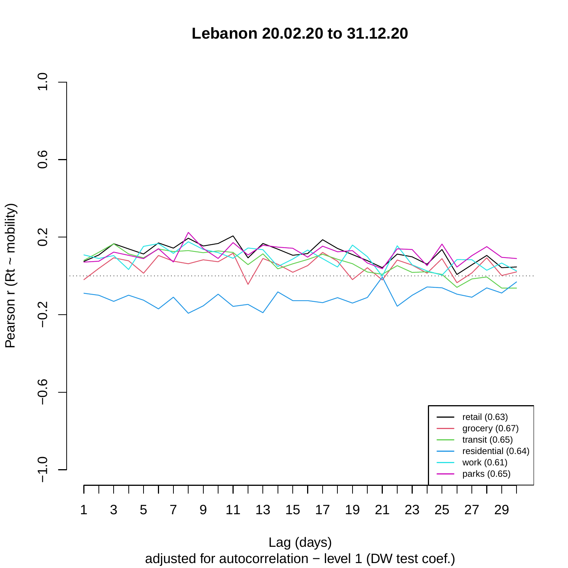**Lebanon 20.02.20 to 31.12.20**



adjusted for autocorrelation − level 1 (DW test coef.) Lag (days)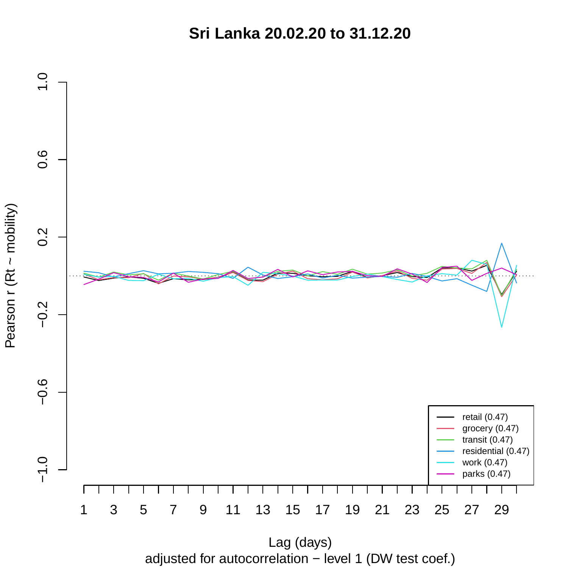**Sri Lanka 20.02.20 to 31.12.20**



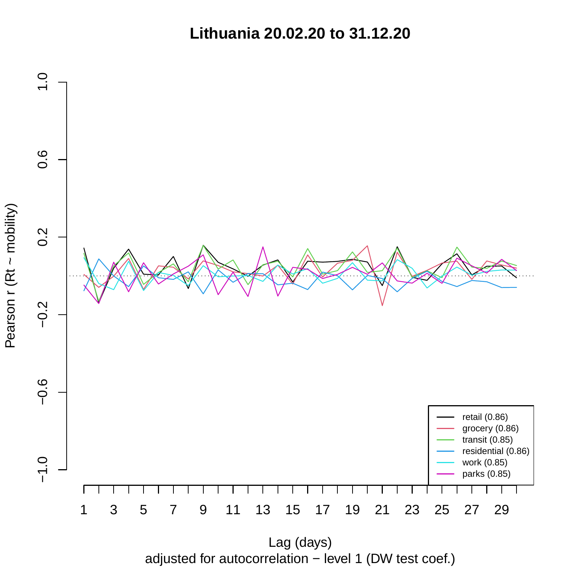**Lithuania 20.02.20 to 31.12.20**



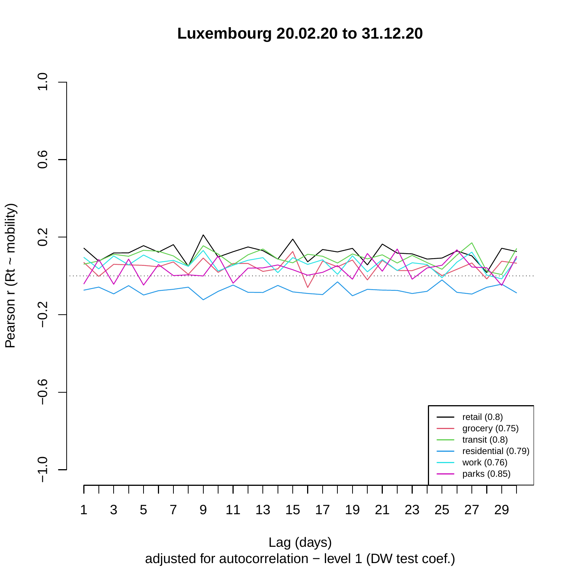**Luxembourg 20.02.20 to 31.12.20**



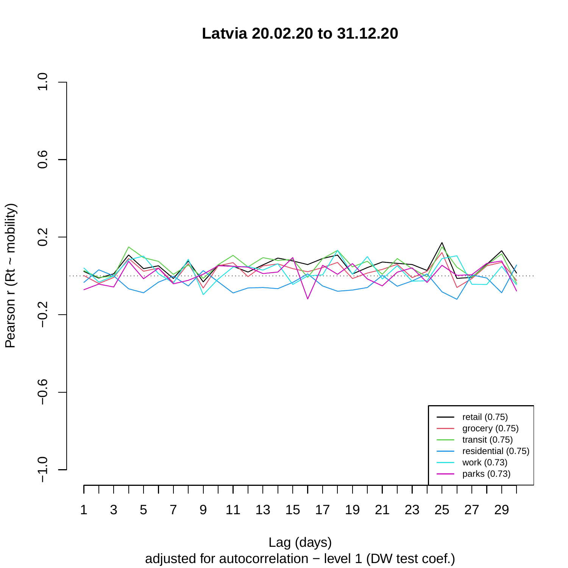**Latvia 20.02.20 to 31.12.20**



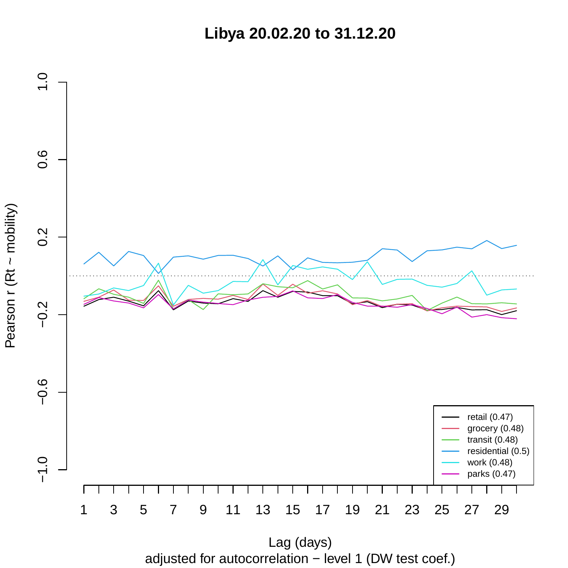**Libya 20.02.20 to 31.12.20**



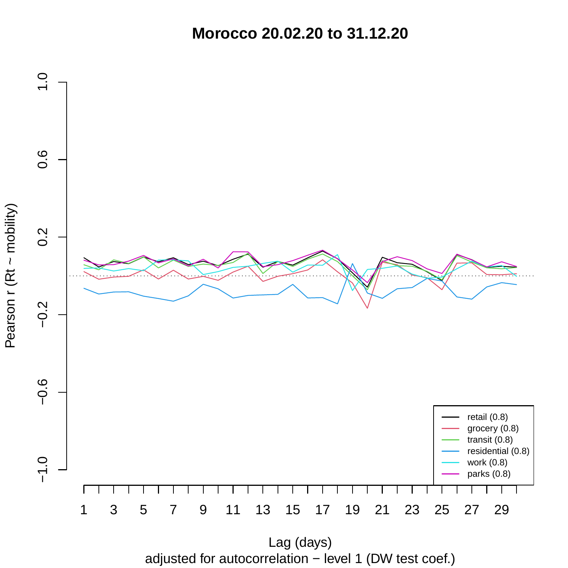**Morocco 20.02.20 to 31.12.20**



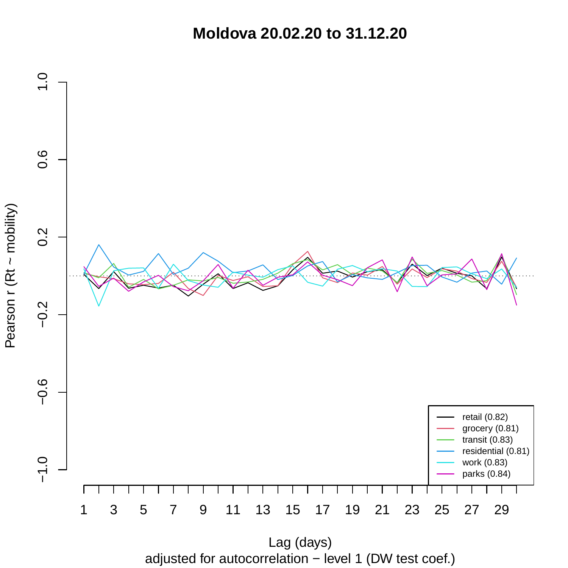**Moldova 20.02.20 to 31.12.20**



adjusted for autocorrelation − level 1 (DW test coef.)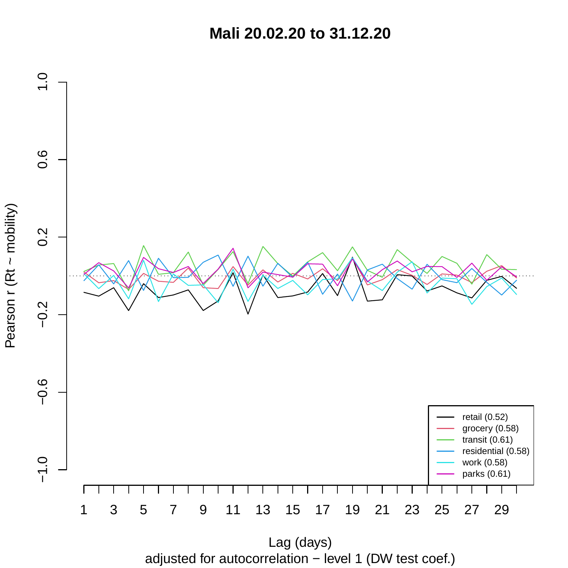**Mali 20.02.20 to 31.12.20**



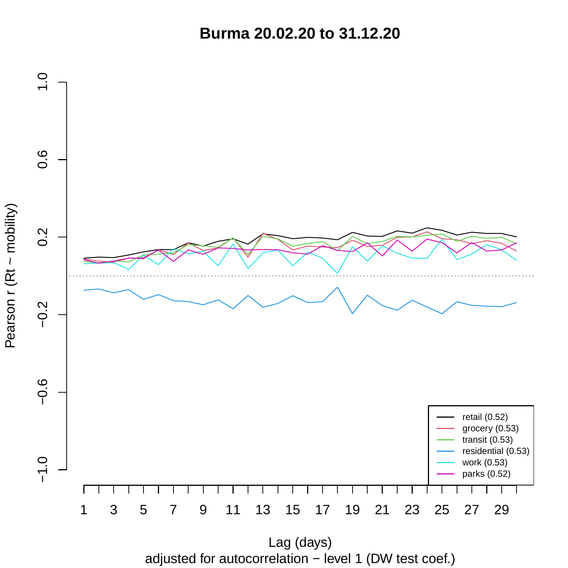**Burma 20.02.20 to 31.12.20**



adjusted for autocorrelation − level 1 (DW test coef.) Lag (days)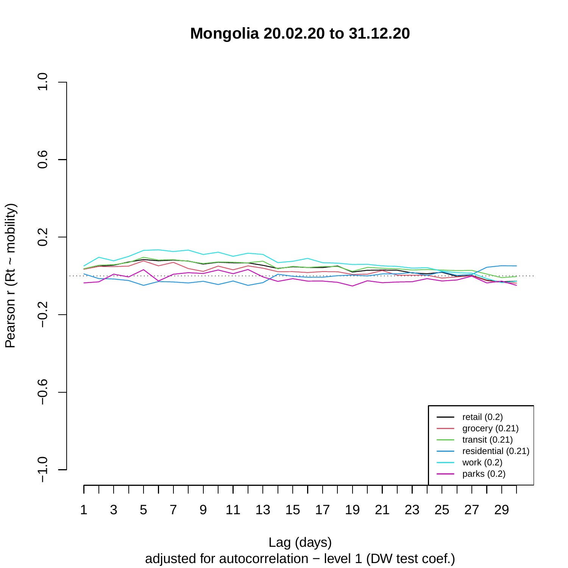**Mongolia 20.02.20 to 31.12.20**



adjusted for autocorrelation − level 1 (DW test coef.)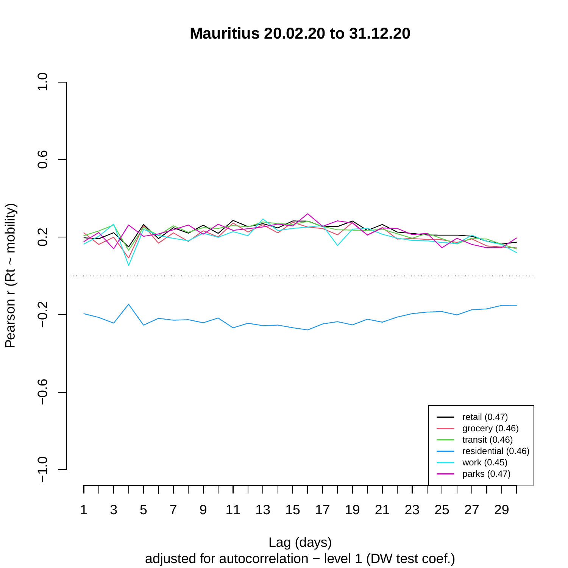**Mauritius 20.02.20 to 31.12.20**



adjusted for autocorrelation − level 1 (DW test coef.)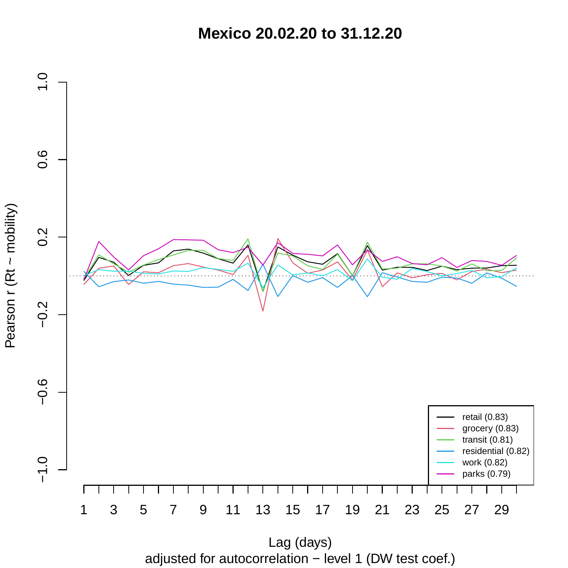**Mexico 20.02.20 to 31.12.20**



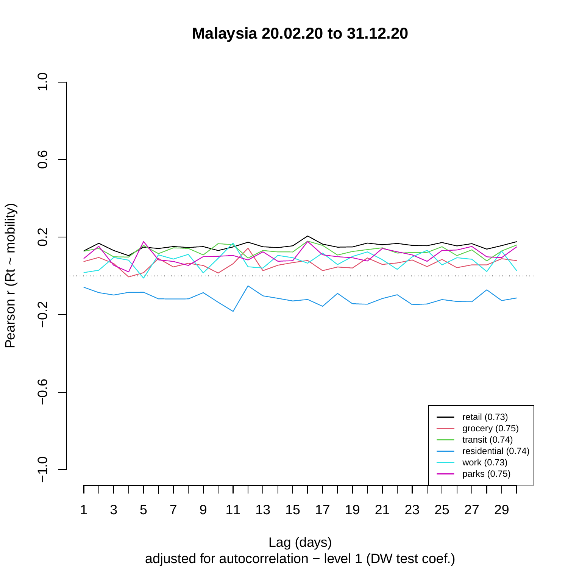**Malaysia 20.02.20 to 31.12.20**



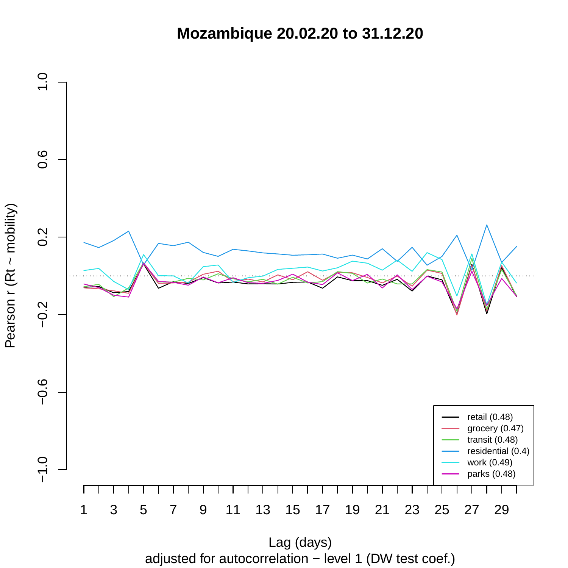**Mozambique 20.02.20 to 31.12.20**



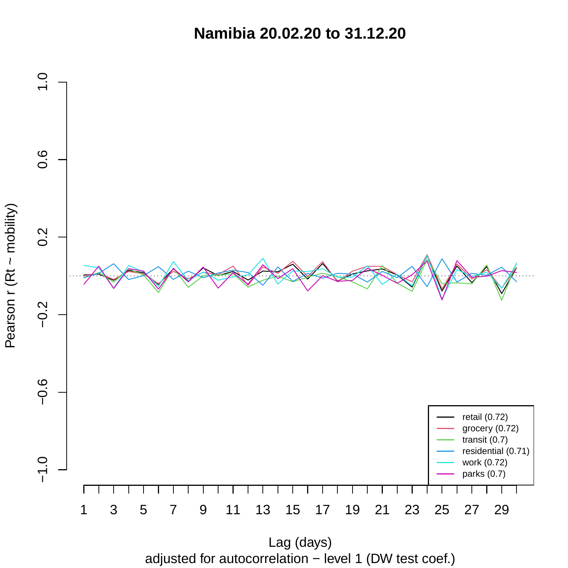**Namibia 20.02.20 to 31.12.20**



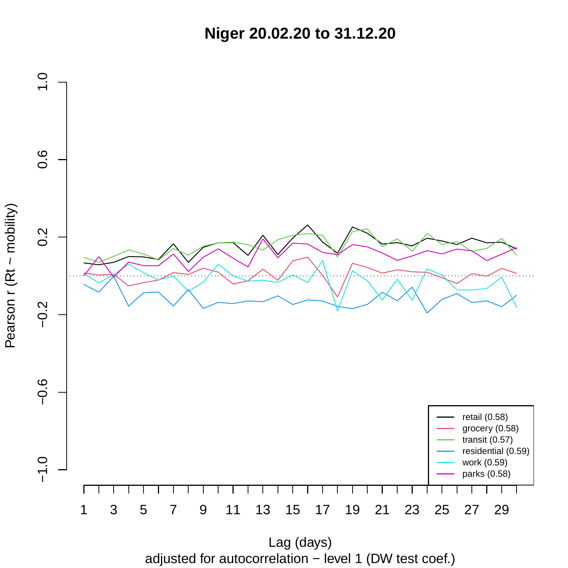**Niger 20.02.20 to 31.12.20**



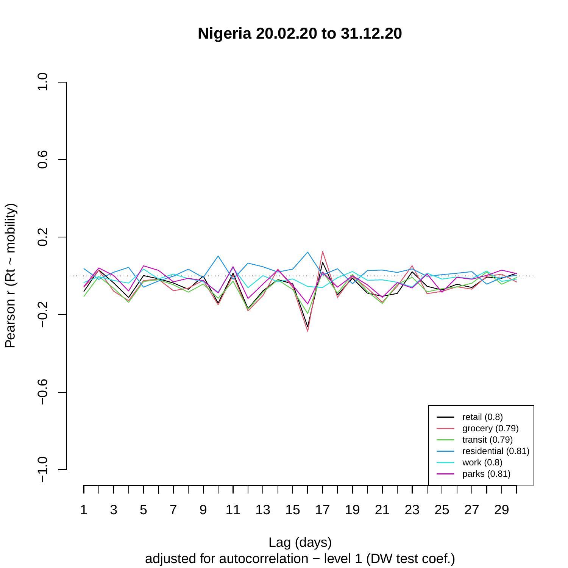**Nigeria 20.02.20 to 31.12.20**



adjusted for autocorrelation − level 1 (DW test coef.) Lag (days)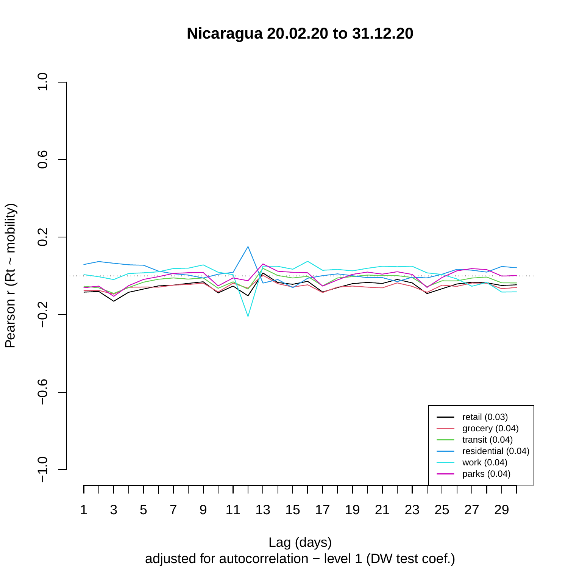**Nicaragua 20.02.20 to 31.12.20**



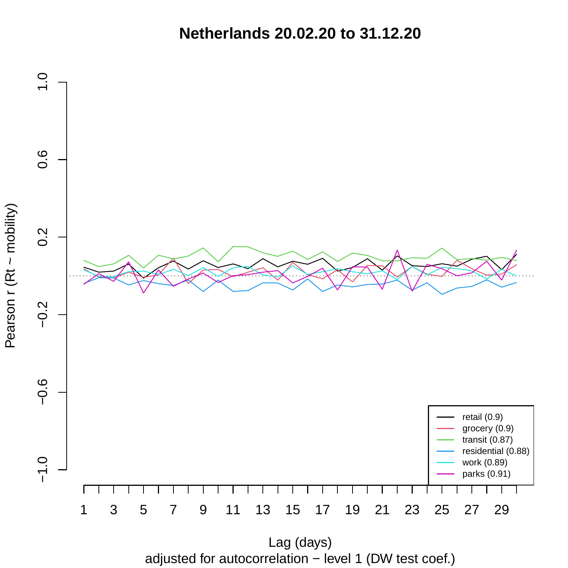**Netherlands 20.02.20 to 31.12.20**



adjusted for autocorrelation − level 1 (DW test coef.)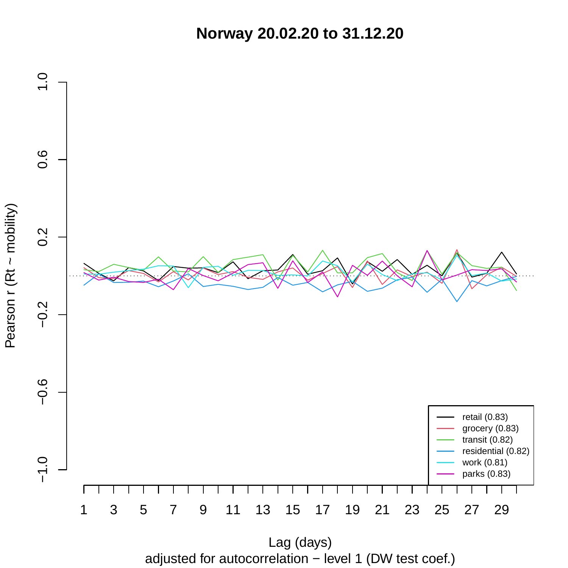**Norway 20.02.20 to 31.12.20**



adjusted for autocorrelation − level 1 (DW test coef.) Lag (days)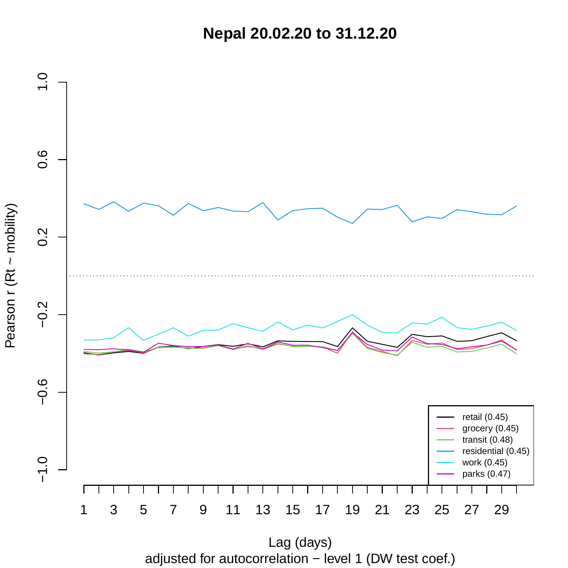**Nepal 20.02.20 to 31.12.20**



adjusted for autocorrelation − level 1 (DW test coef.) Lag (days)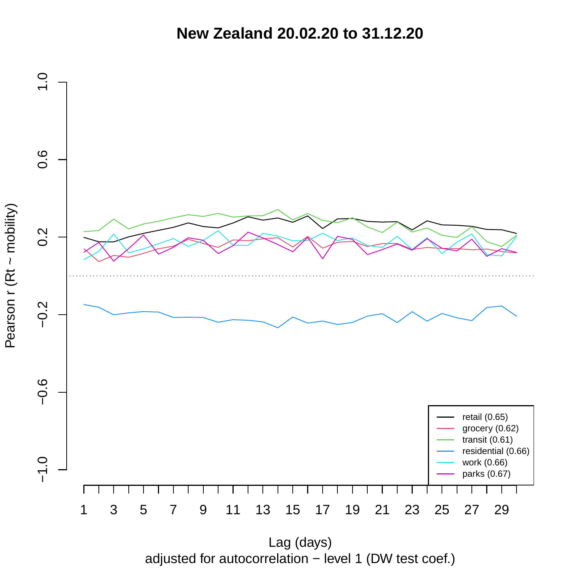**New Zealand 20.02.20 to 31.12.20**



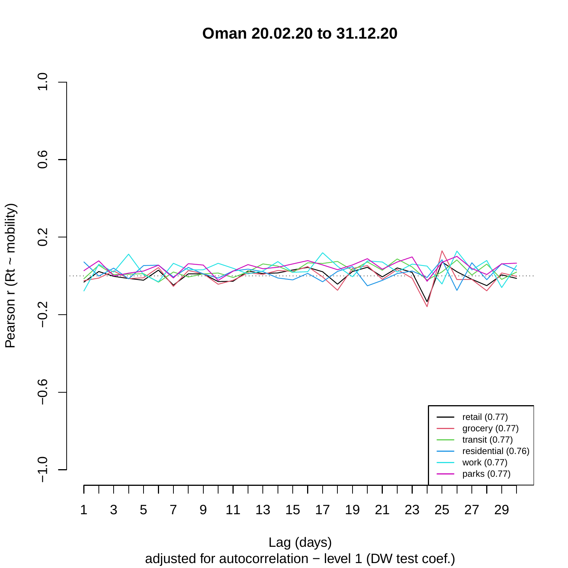**Oman 20.02.20 to 31.12.20**



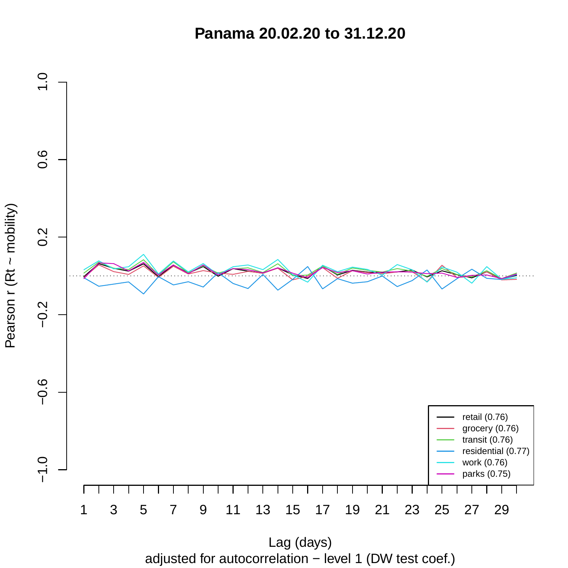**Panama 20.02.20 to 31.12.20**



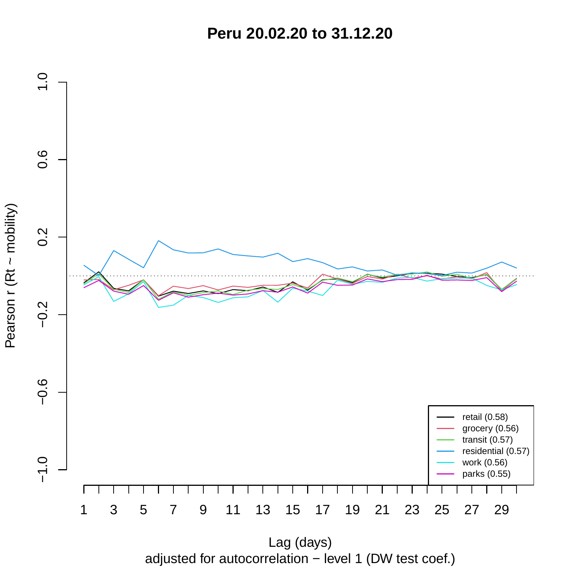**Peru 20.02.20 to 31.12.20**



adjusted for autocorrelation − level 1 (DW test coef.)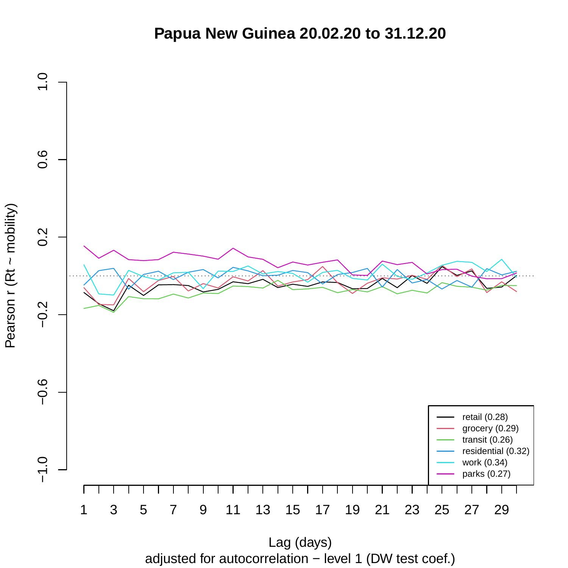## **Papua New Guinea 20.02.20 to 31.12.20**



adjusted for autocorrelation − level 1 (DW test coef.)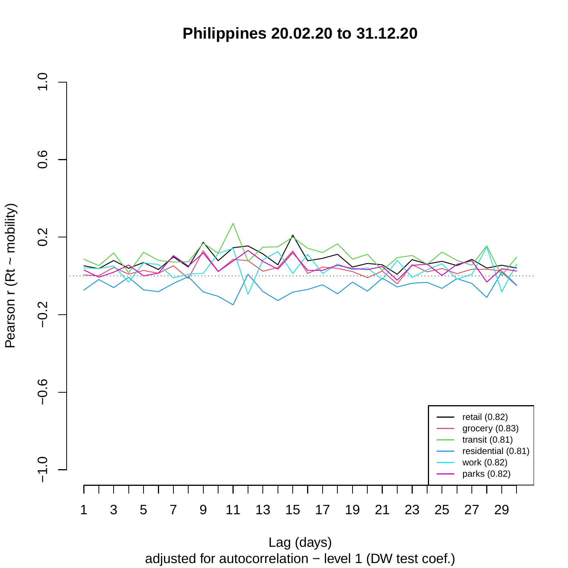**Philippines 20.02.20 to 31.12.20**



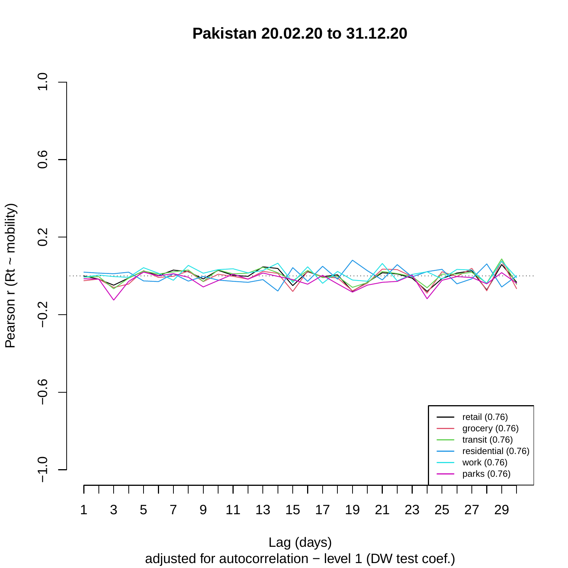**Pakistan 20.02.20 to 31.12.20**



Pearson r (Rt ~ mobility)

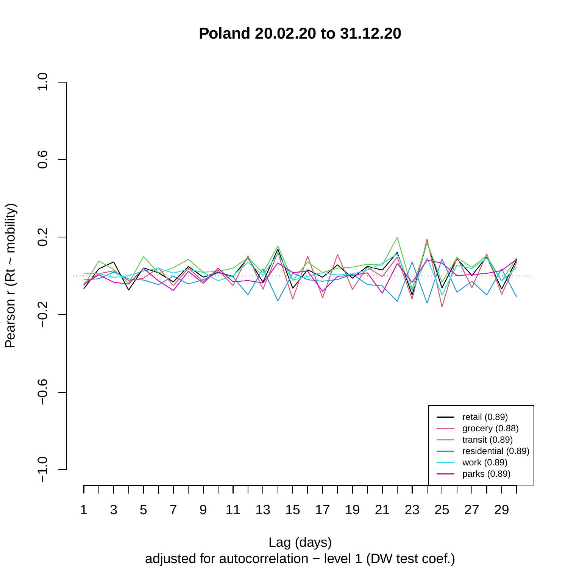**Poland 20.02.20 to 31.12.20**



adjusted for autocorrelation − level 1 (DW test coef.)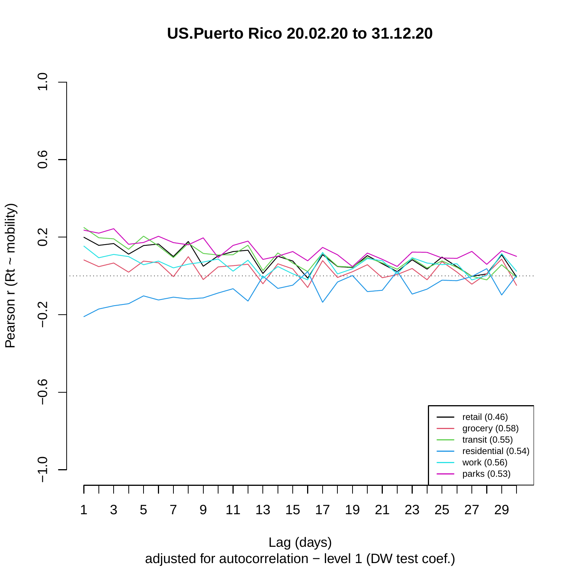**US.Puerto Rico 20.02.20 to 31.12.20**



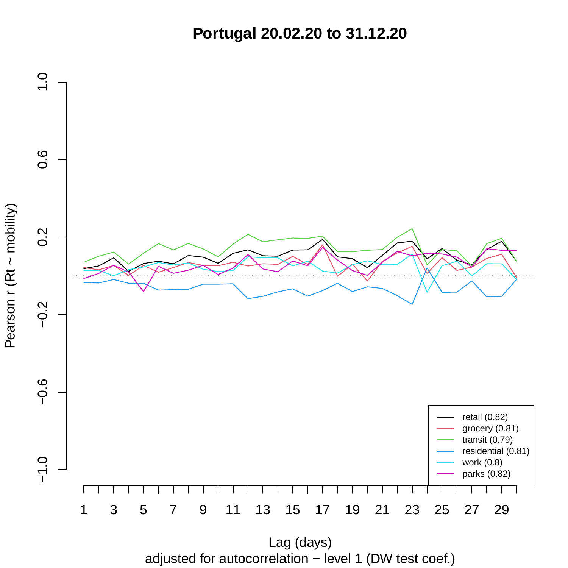**Portugal 20.02.20 to 31.12.20**



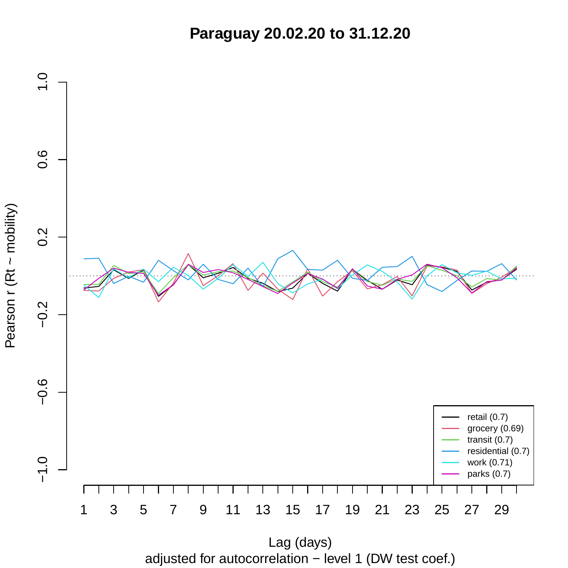**Paraguay 20.02.20 to 31.12.20**



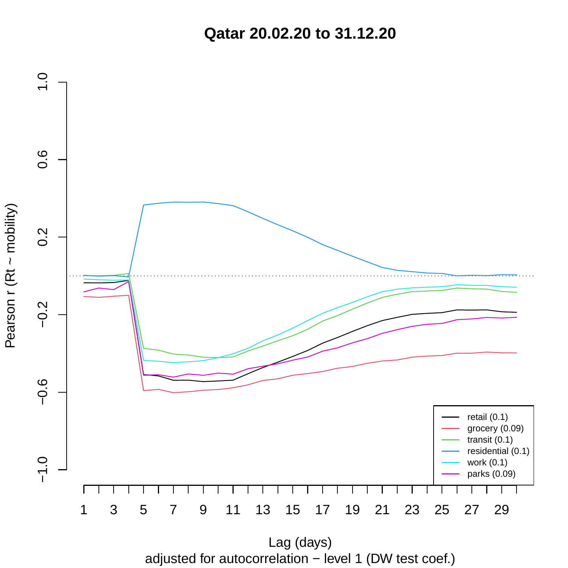**Qatar 20.02.20 to 31.12.20**



adjusted for autocorrelation − level 1 (DW test coef.) Lag (days)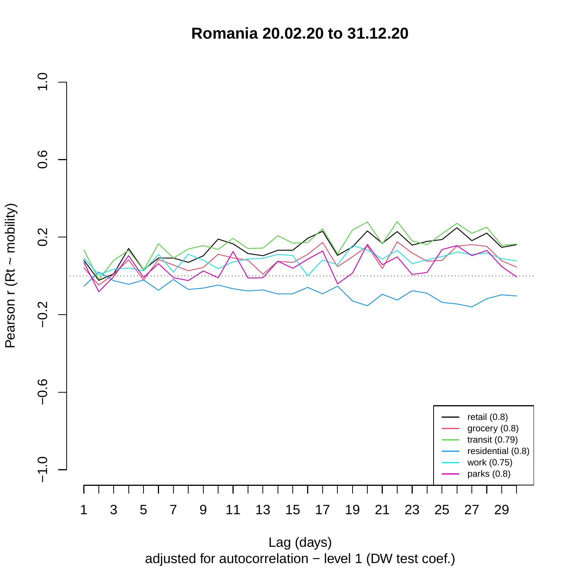**Romania 20.02.20 to 31.12.20**



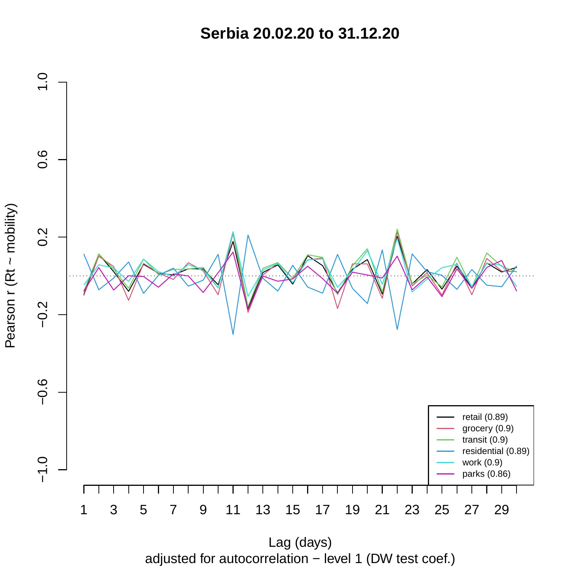**Serbia 20.02.20 to 31.12.20**



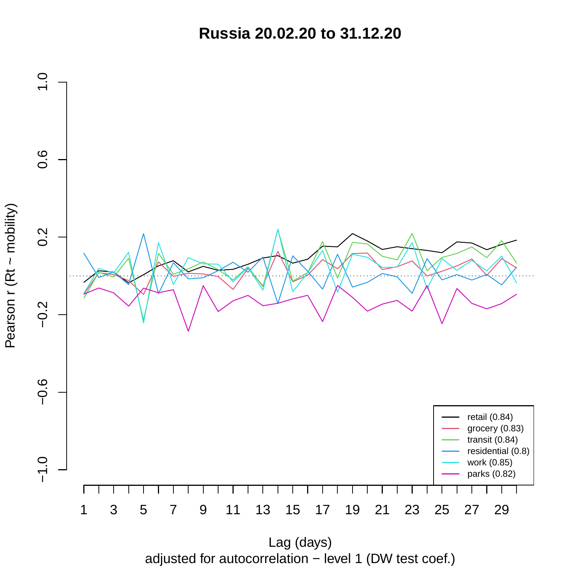**Russia 20.02.20 to 31.12.20**



adjusted for autocorrelation − level 1 (DW test coef.) Lag (days)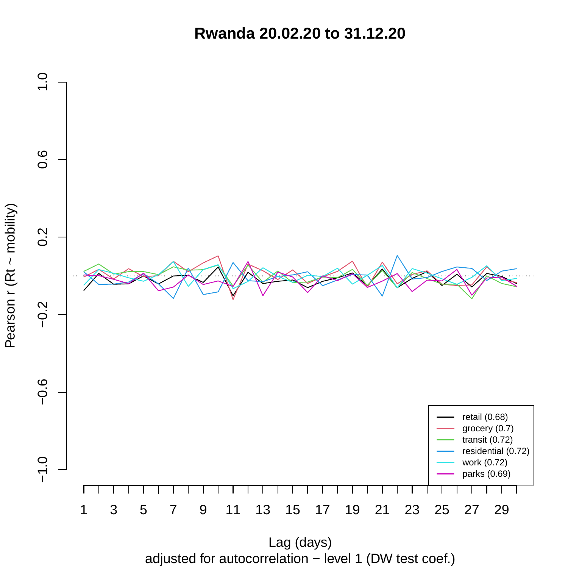**Rwanda 20.02.20 to 31.12.20**



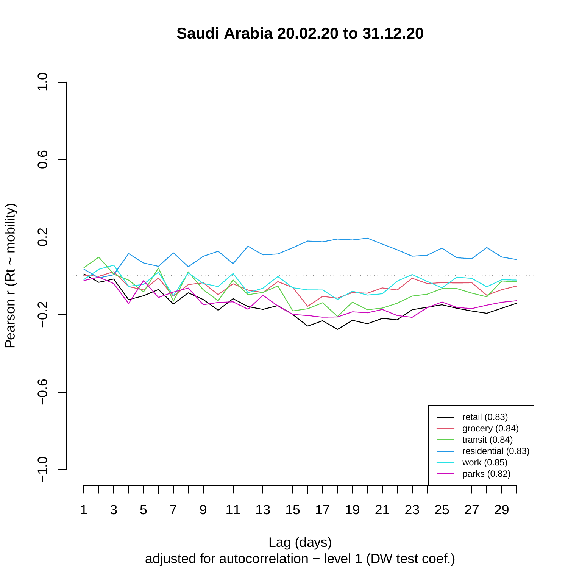**Saudi Arabia 20.02.20 to 31.12.20**



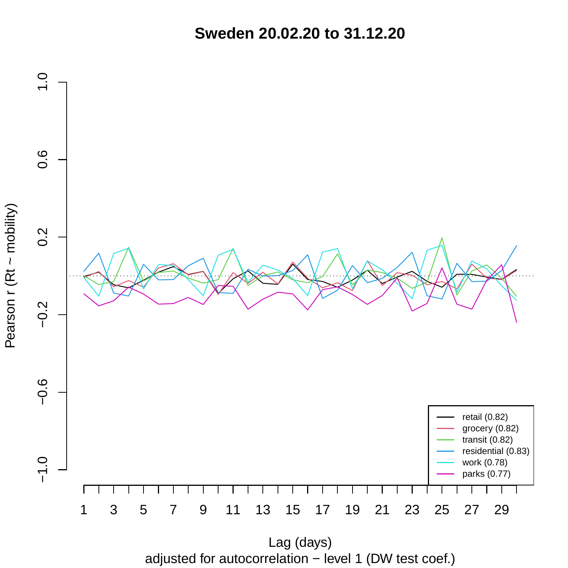**Sweden 20.02.20 to 31.12.20**



adjusted for autocorrelation − level 1 (DW test coef.) Lag (days)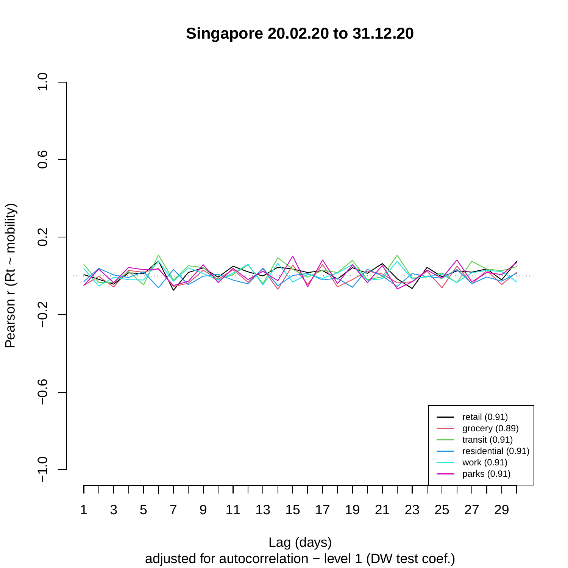**Singapore 20.02.20 to 31.12.20**



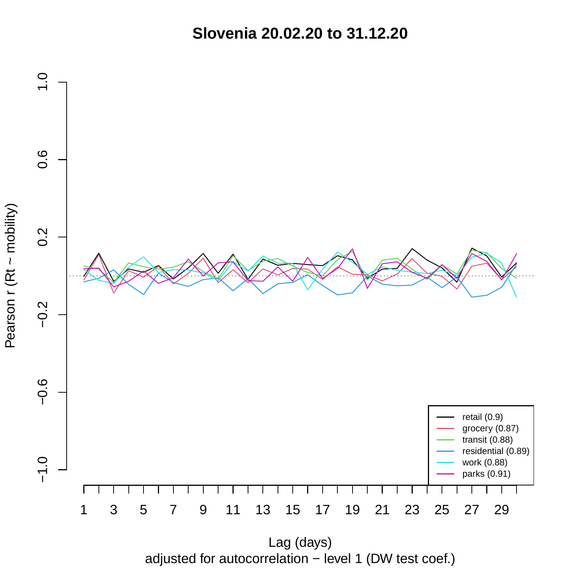**Slovenia 20.02.20 to 31.12.20**



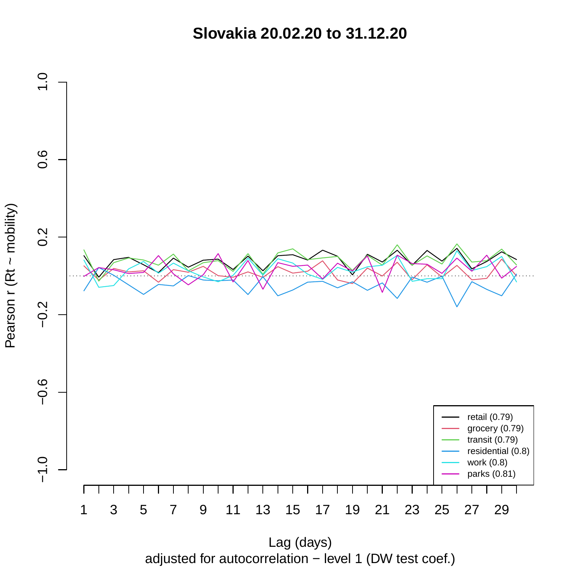**Slovakia 20.02.20 to 31.12.20**



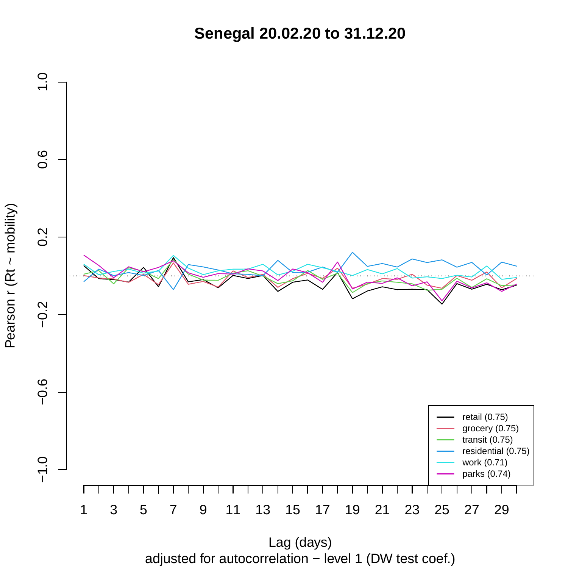**Senegal 20.02.20 to 31.12.20**



adjusted for autocorrelation − level 1 (DW test coef.)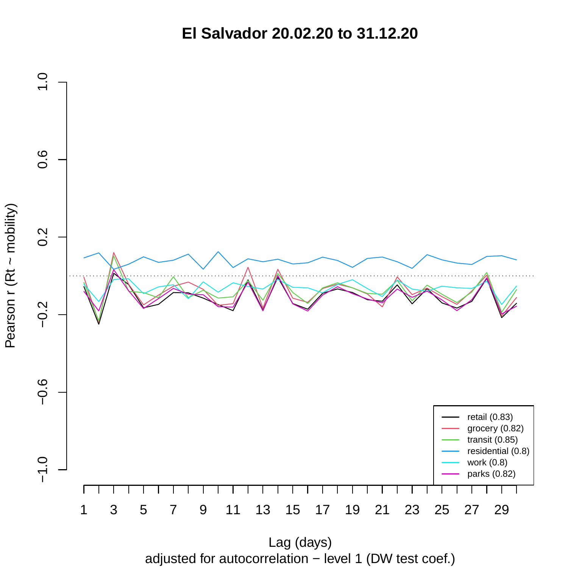**El Salvador 20.02.20 to 31.12.20**



Pearson r (Rt ~ mobility)

adjusted for autocorrelation − level 1 (DW test coef.) Lag (days)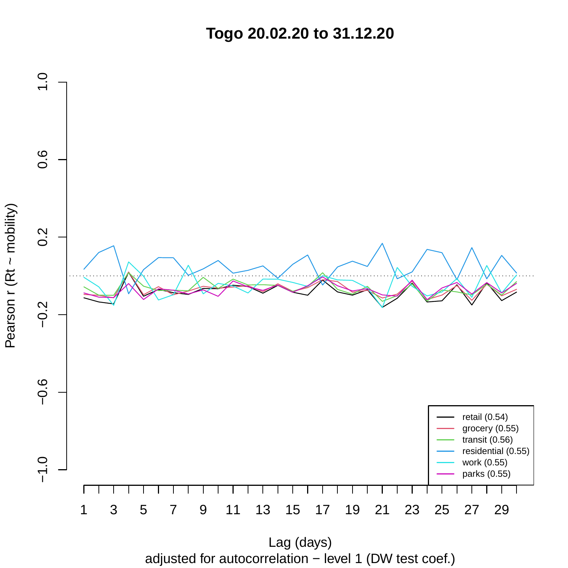**Togo 20.02.20 to 31.12.20**



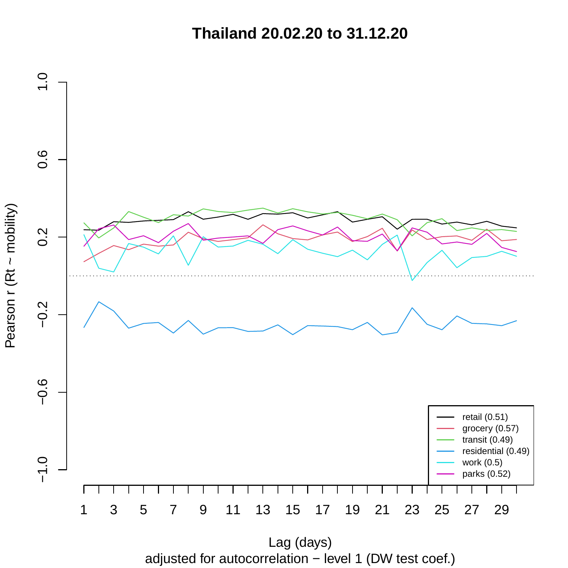**Thailand 20.02.20 to 31.12.20**



Pearson r (Rt ~ mobility)

adjusted for autocorrelation − level 1 (DW test coef.) Lag (days)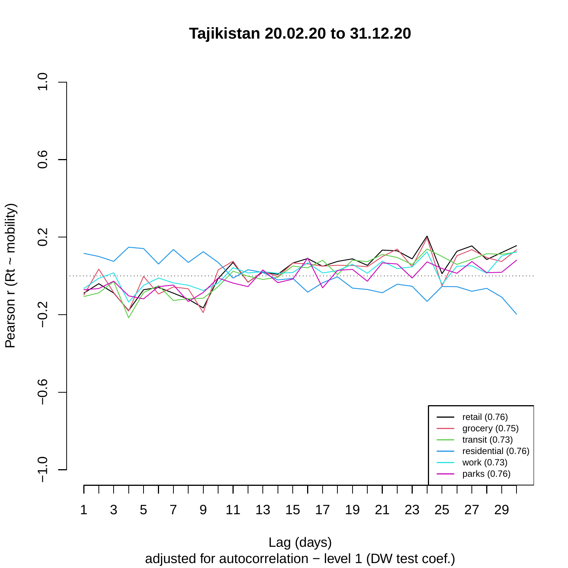**Tajikistan 20.02.20 to 31.12.20**



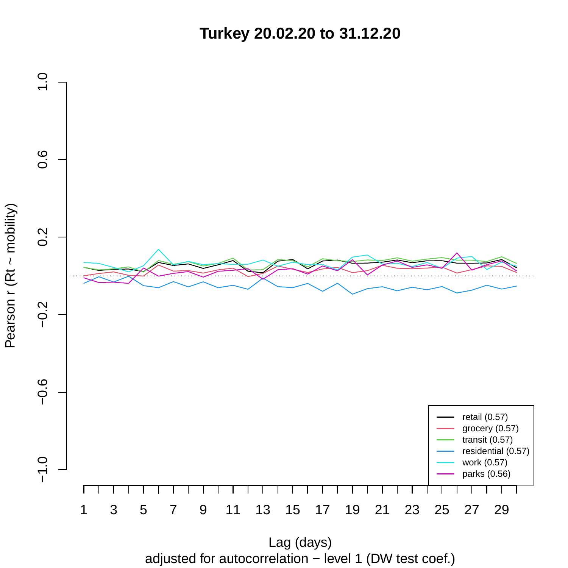**Turkey 20.02.20 to 31.12.20**



adjusted for autocorrelation − level 1 (DW test coef.)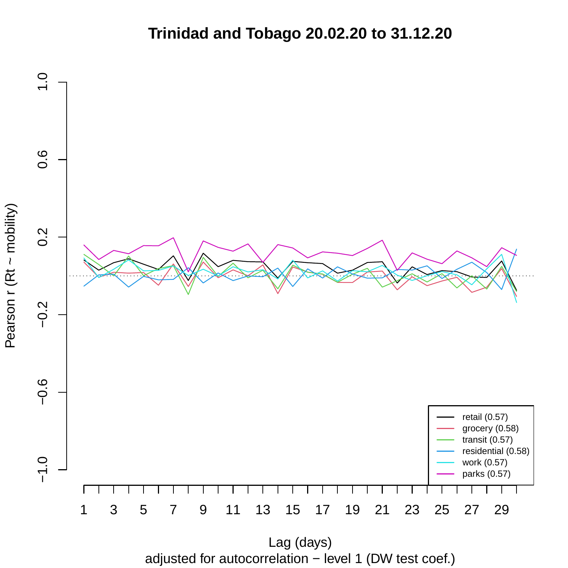## **Trinidad and Tobago 20.02.20 to 31.12.20**



adjusted for autocorrelation − level 1 (DW test coef.)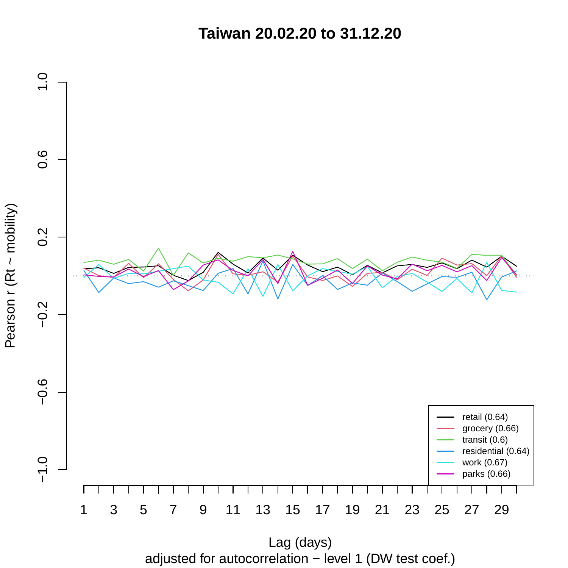**Taiwan 20.02.20 to 31.12.20**



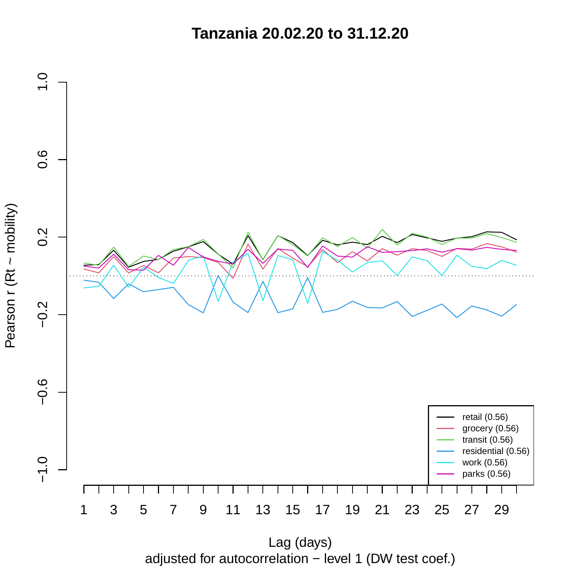**Tanzania 20.02.20 to 31.12.20**



adjusted for autocorrelation − level 1 (DW test coef.) Lag (days)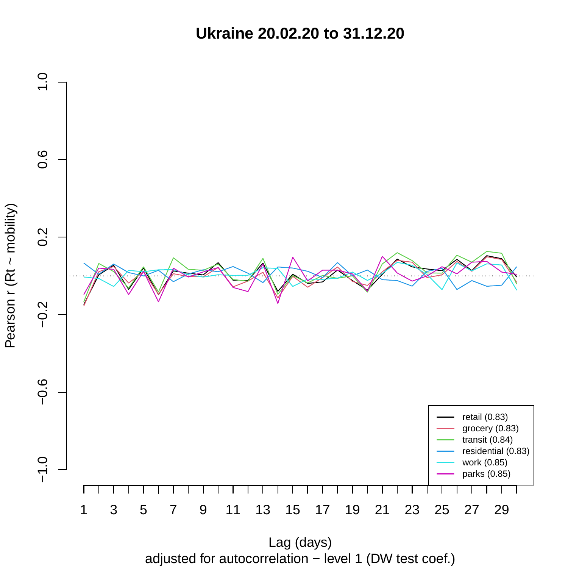**Ukraine 20.02.20 to 31.12.20**



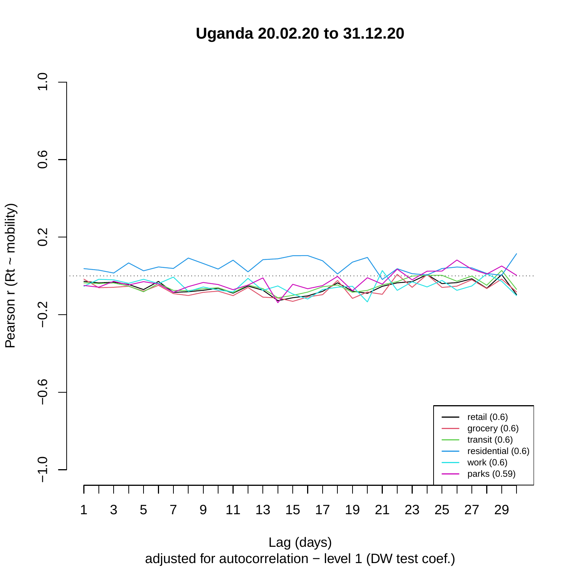**Uganda 20.02.20 to 31.12.20**



adjusted for autocorrelation − level 1 (DW test coef.)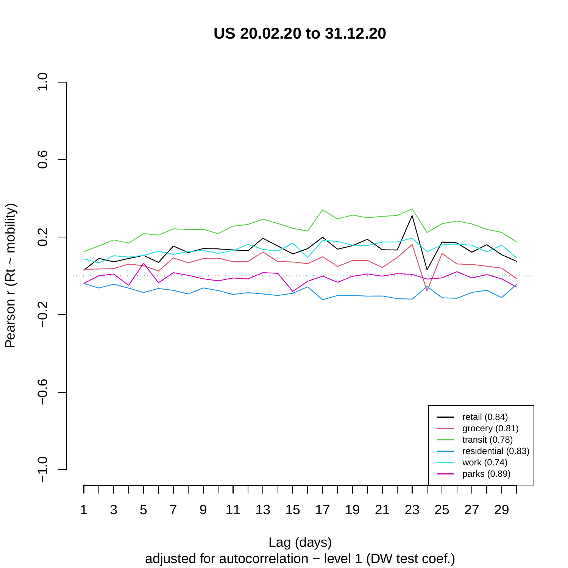**US 20.02.20 to 31.12.20**



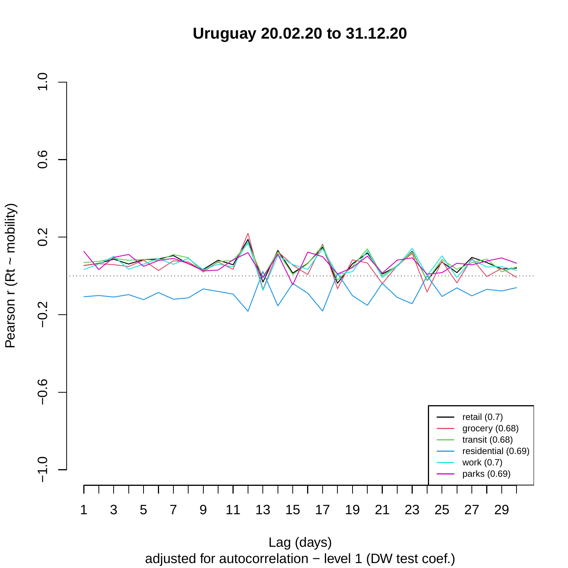**Uruguay 20.02.20 to 31.12.20**



Pearson r (Rt ~ mobility)

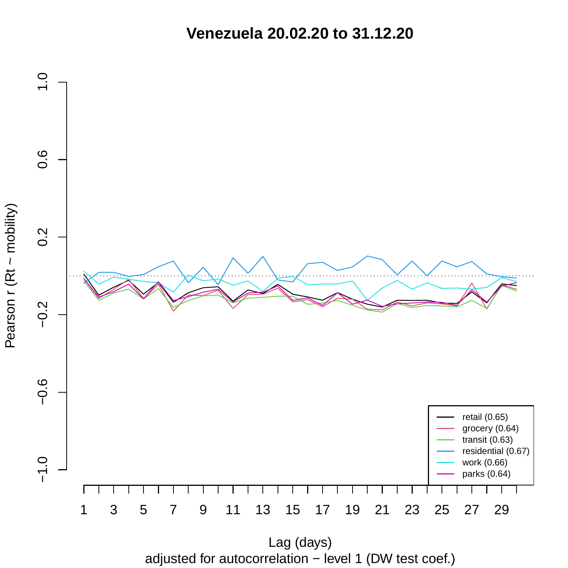**Venezuela 20.02.20 to 31.12.20**



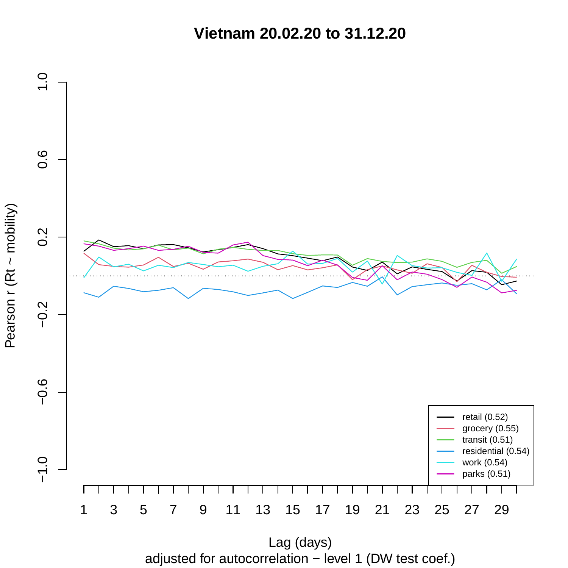**Vietnam 20.02.20 to 31.12.20**

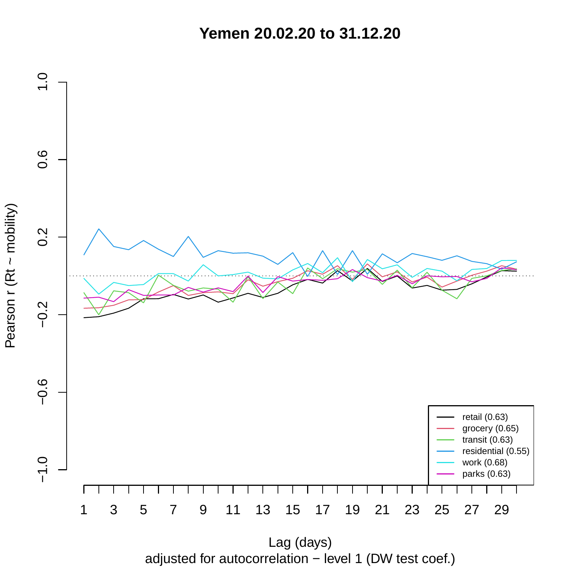**Yemen 20.02.20 to 31.12.20**



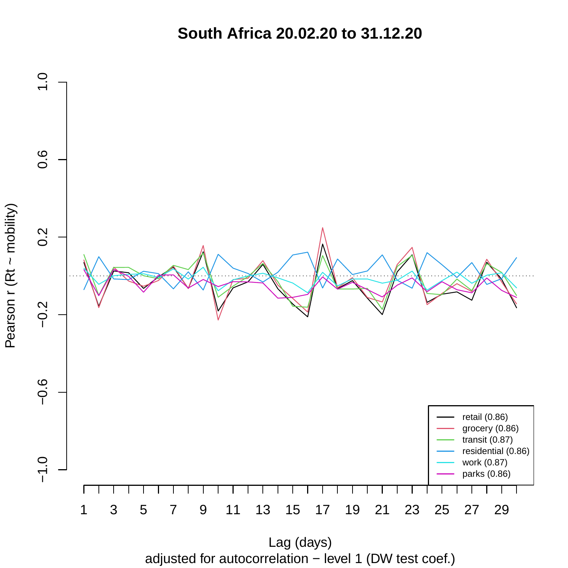**South Africa 20.02.20 to 31.12.20**



adjusted for autocorrelation − level 1 (DW test coef.) Lag (days)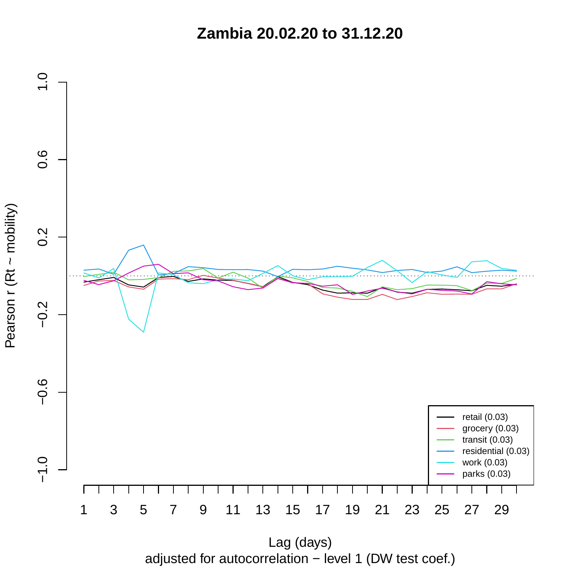**Zambia 20.02.20 to 31.12.20**



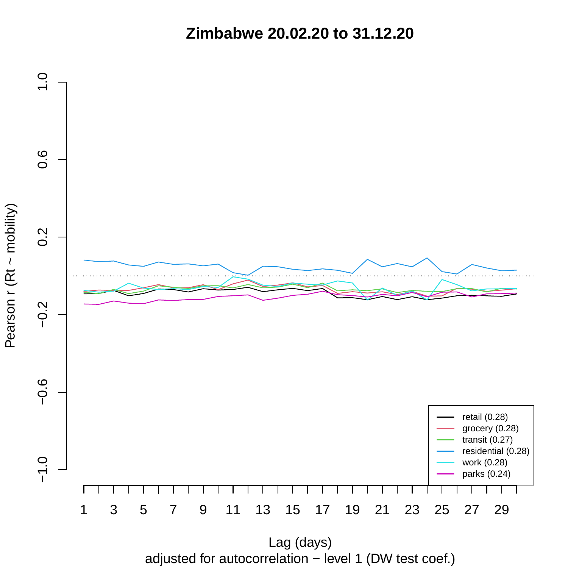**Zimbabwe 20.02.20 to 31.12.20**

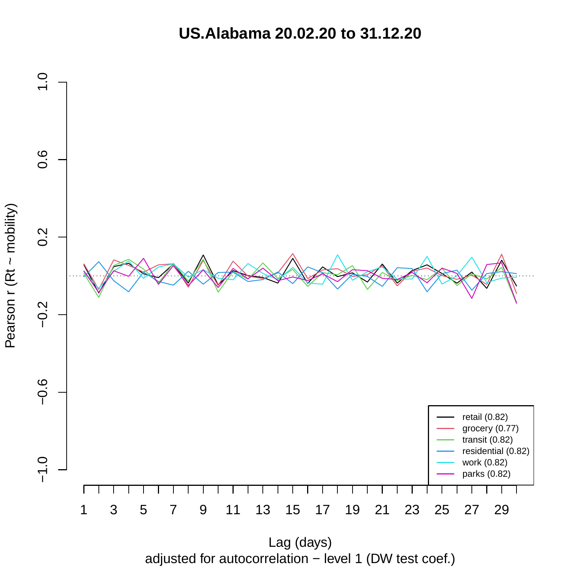**US.Alabama 20.02.20 to 31.12.20**



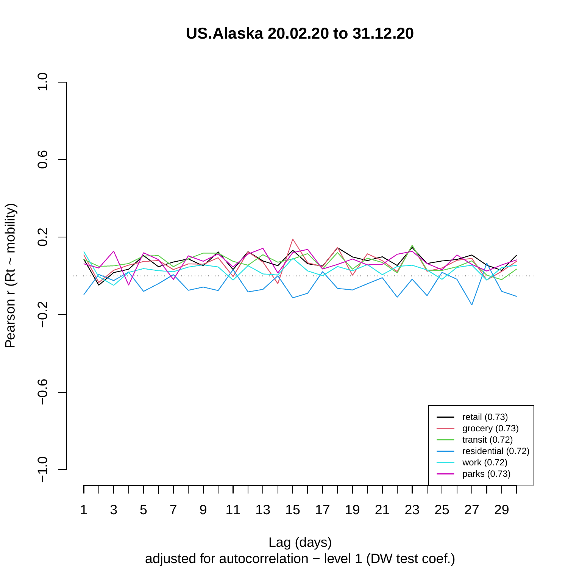**US.Alaska 20.02.20 to 31.12.20**

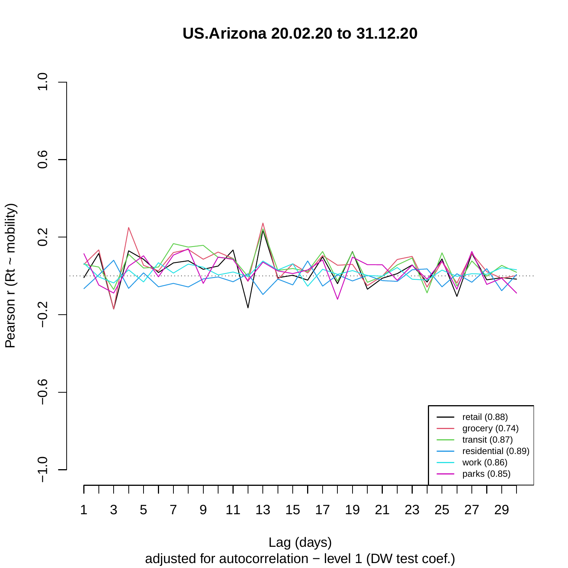**US.Arizona 20.02.20 to 31.12.20**



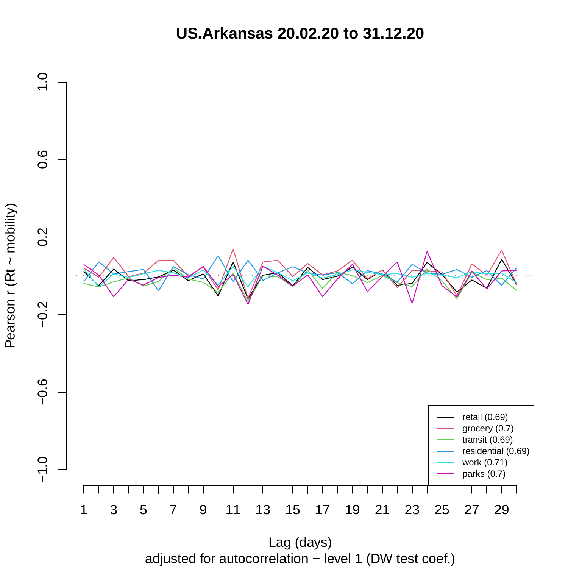**US.Arkansas 20.02.20 to 31.12.20**

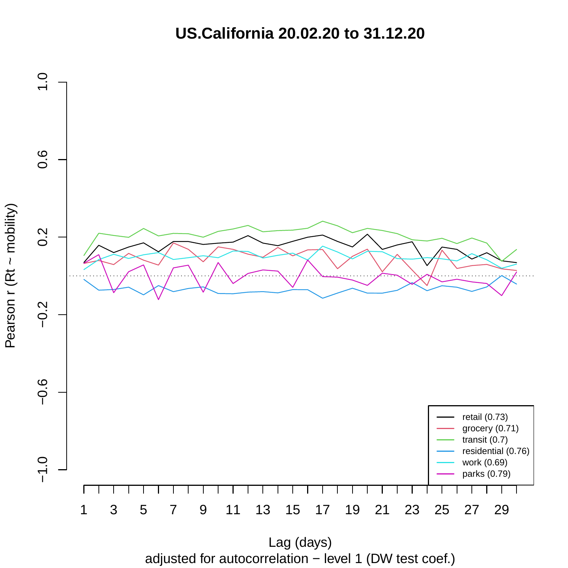**US.California 20.02.20 to 31.12.20**



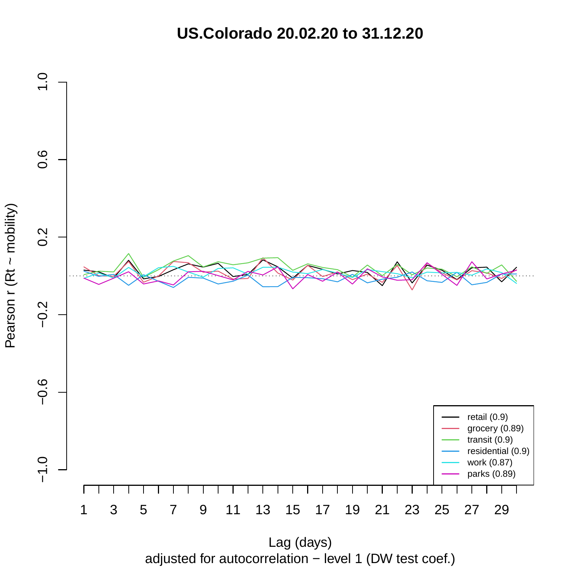**US.Colorado 20.02.20 to 31.12.20**



adjusted for autocorrelation − level 1 (DW test coef.)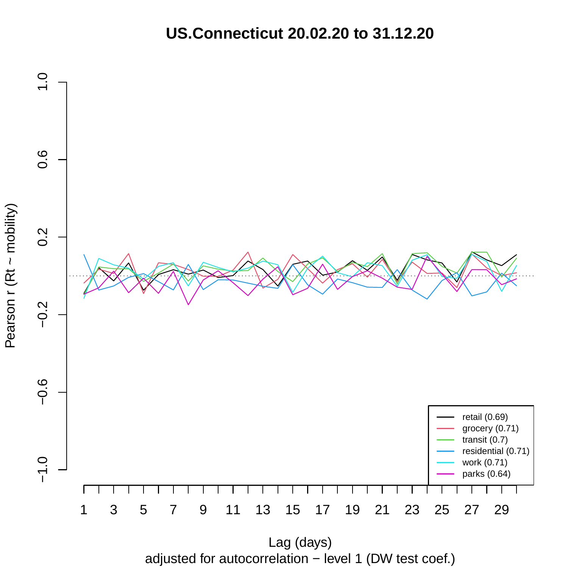**US.Connecticut 20.02.20 to 31.12.20**



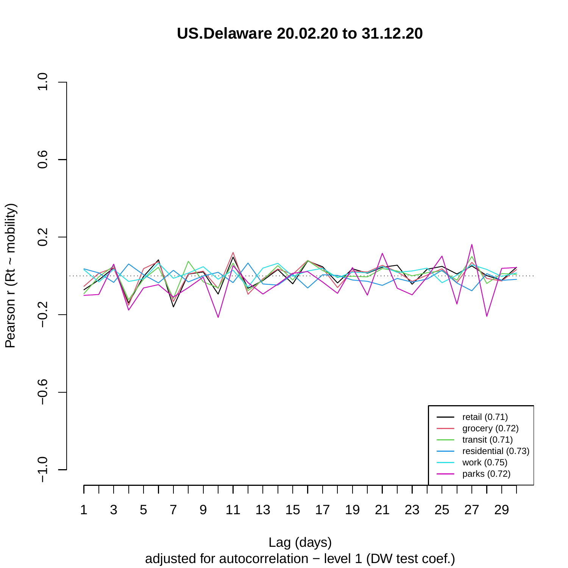**US.Delaware 20.02.20 to 31.12.20**



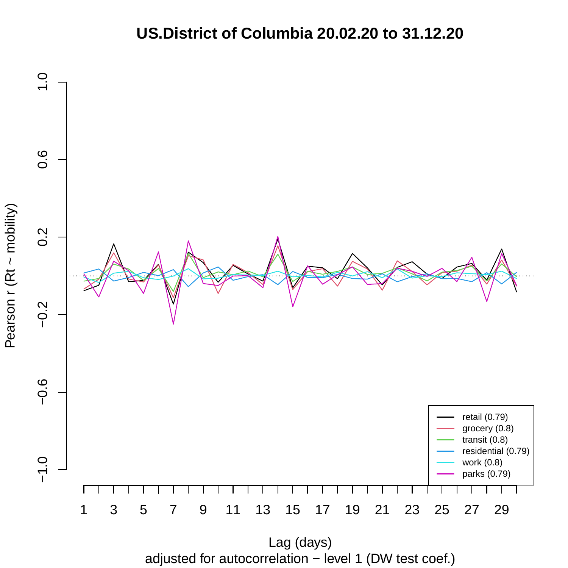## **US.District of Columbia 20.02.20 to 31.12.20**



adjusted for autocorrelation − level 1 (DW test coef.)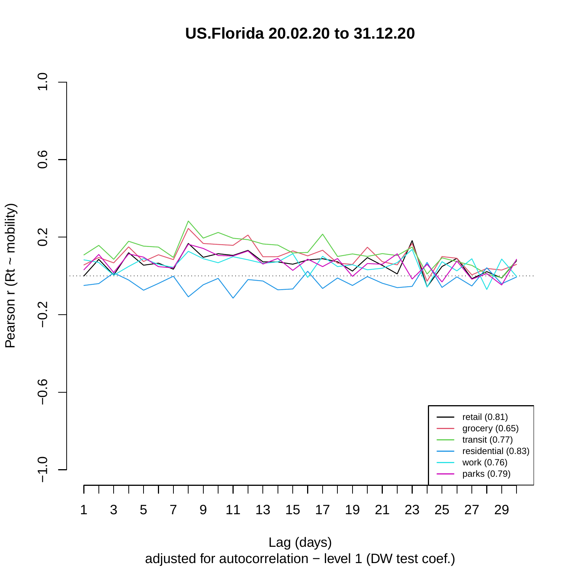**US.Florida 20.02.20 to 31.12.20**



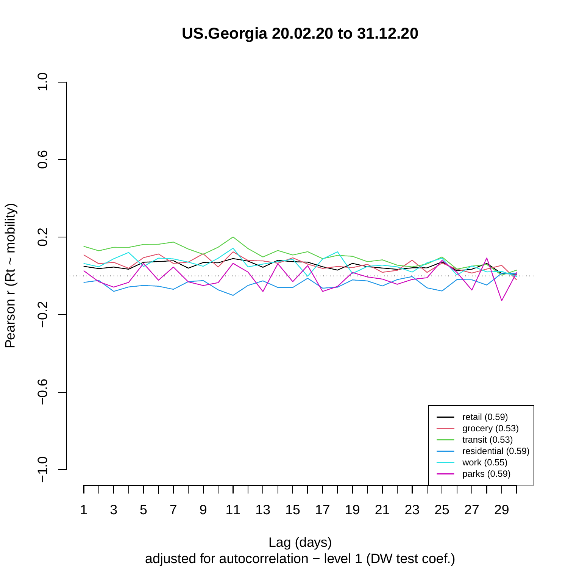**US.Georgia 20.02.20 to 31.12.20**



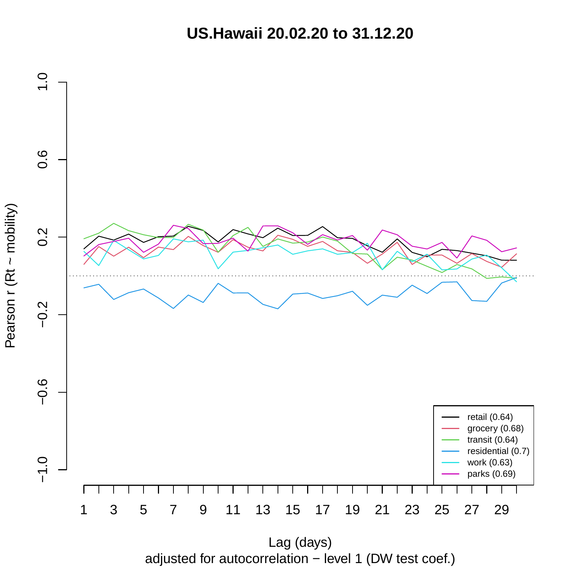**US.Hawaii 20.02.20 to 31.12.20**



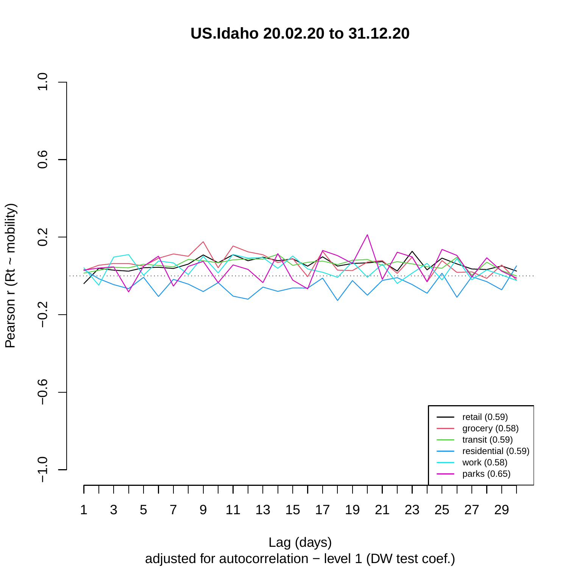**US.Idaho 20.02.20 to 31.12.20**



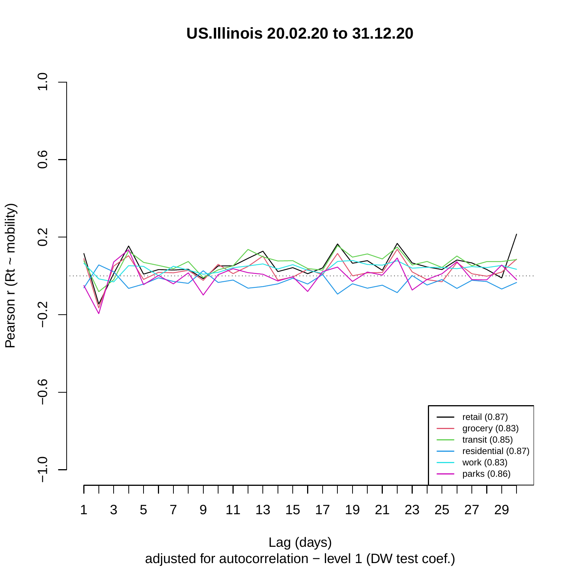**US.Illinois 20.02.20 to 31.12.20**



adjusted for autocorrelation − level 1 (DW test coef.)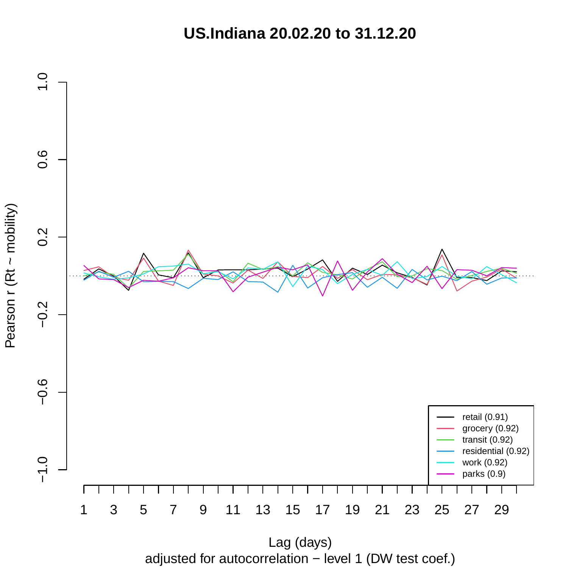**US.Indiana 20.02.20 to 31.12.20**



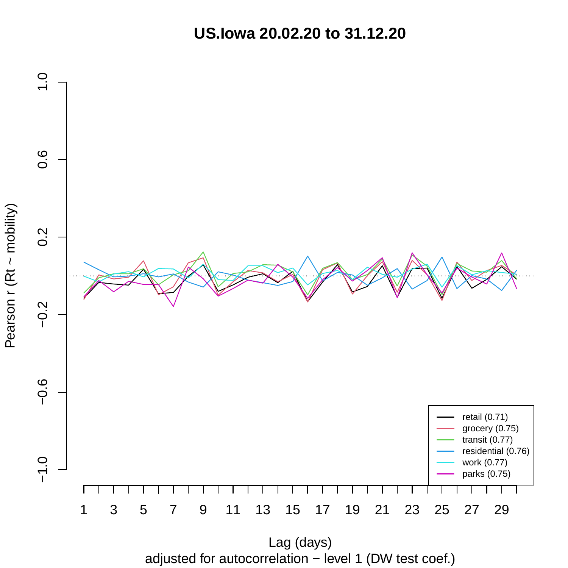**US.Iowa 20.02.20 to 31.12.20**



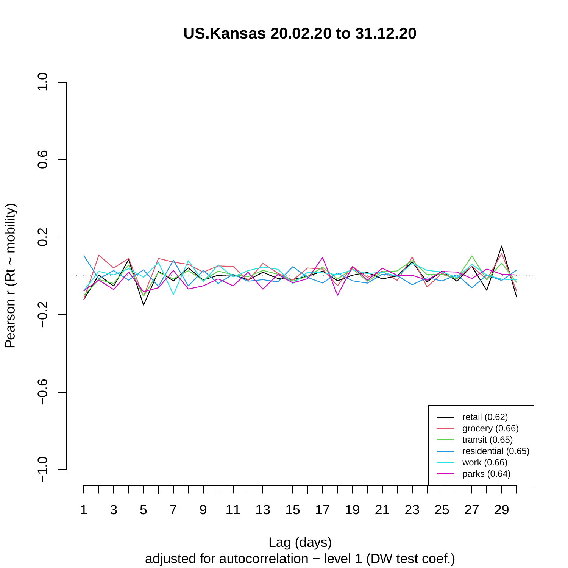**US.Kansas 20.02.20 to 31.12.20**



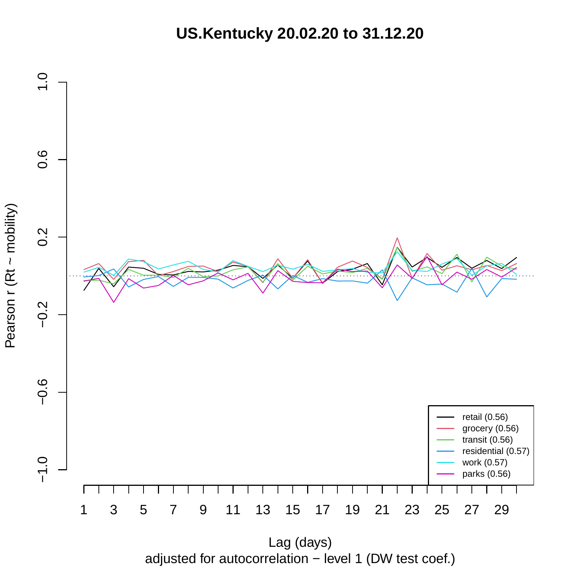**US.Kentucky 20.02.20 to 31.12.20**



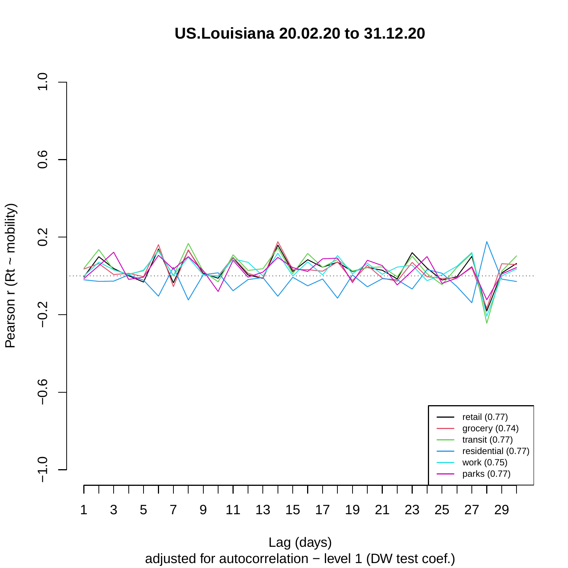**US.Louisiana 20.02.20 to 31.12.20**



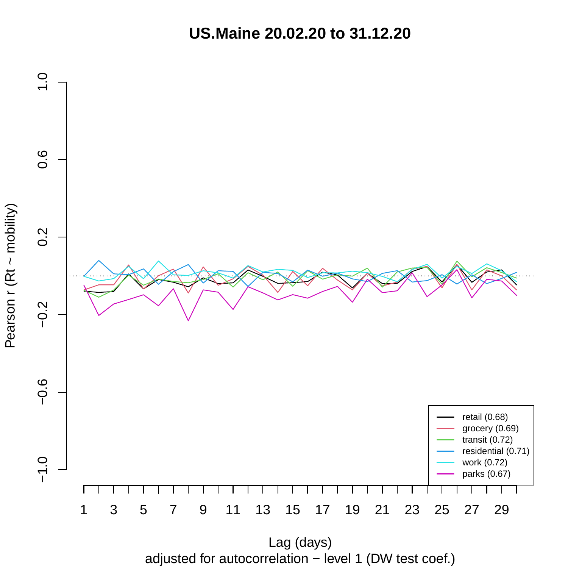**US.Maine 20.02.20 to 31.12.20**



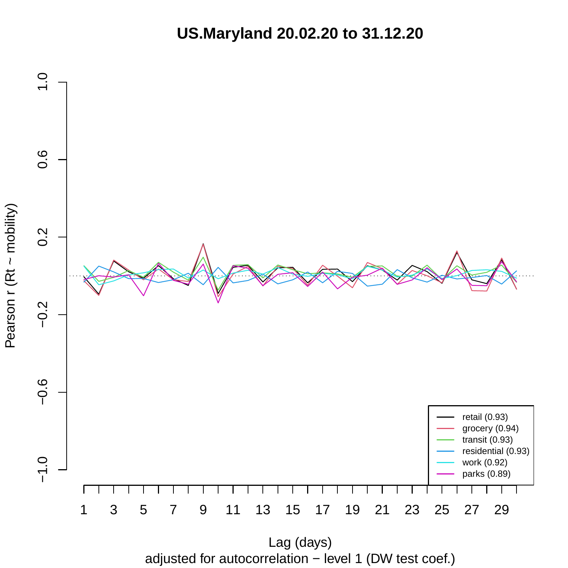**US.Maryland 20.02.20 to 31.12.20**



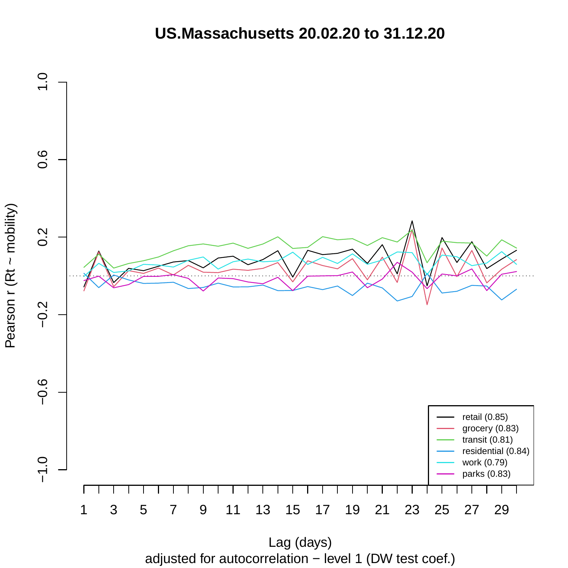# **US.Massachusetts 20.02.20 to 31.12.20**



adjusted for autocorrelation − level 1 (DW test coef.)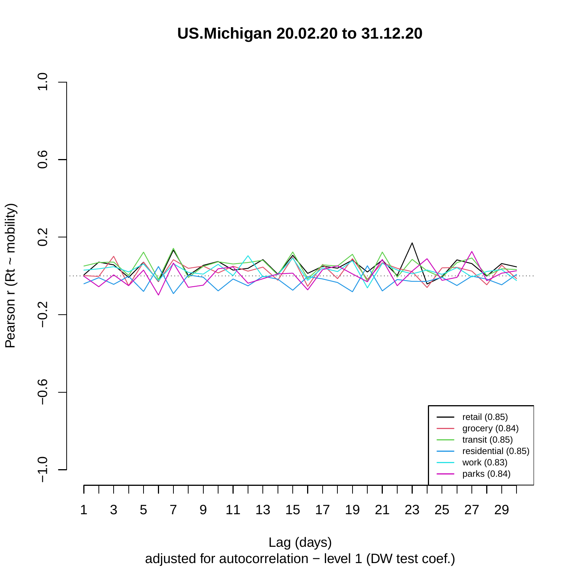**US.Michigan 20.02.20 to 31.12.20**



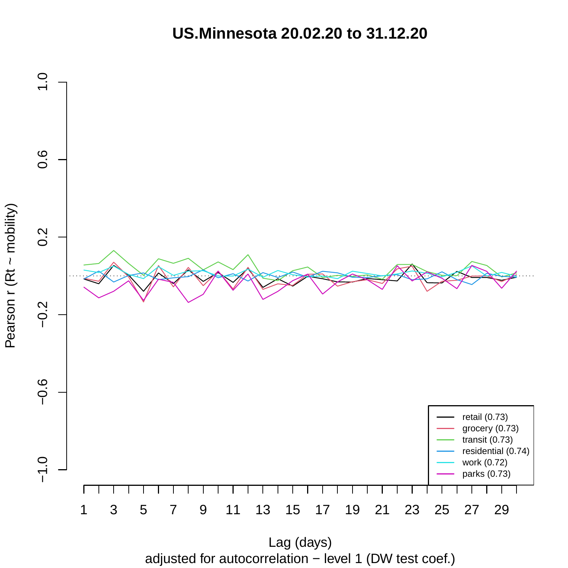**US.Minnesota 20.02.20 to 31.12.20**



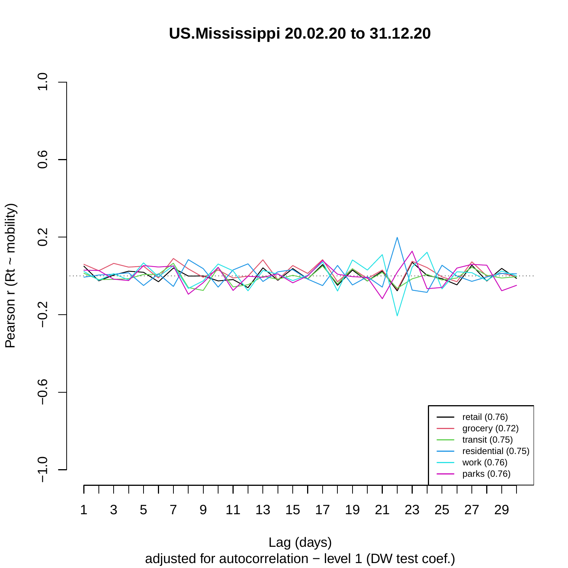**US.Mississippi 20.02.20 to 31.12.20**



adjusted for autocorrelation − level 1 (DW test coef.)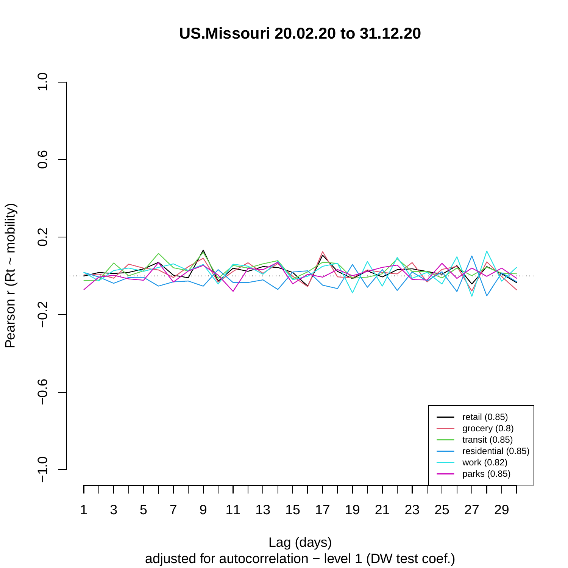**US.Missouri 20.02.20 to 31.12.20**



adjusted for autocorrelation − level 1 (DW test coef.) Lag (days)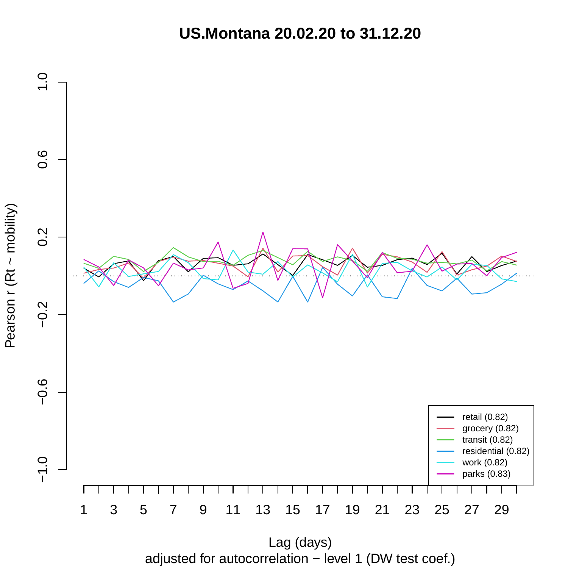**US.Montana 20.02.20 to 31.12.20**



adjusted for autocorrelation − level 1 (DW test coef.) Lag (days)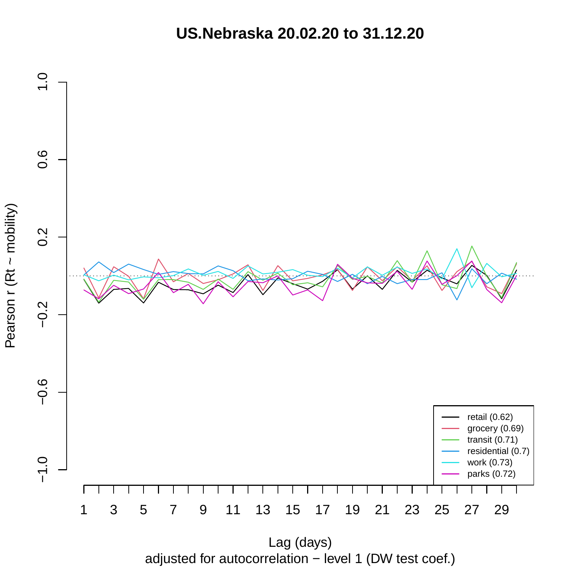**US.Nebraska 20.02.20 to 31.12.20**



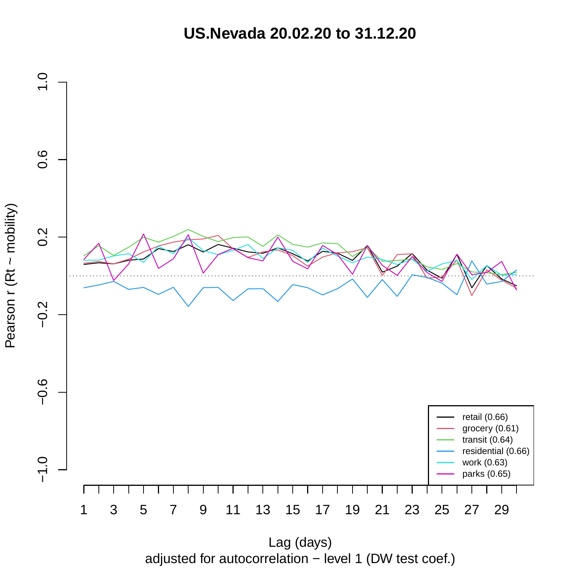**US.Nevada 20.02.20 to 31.12.20**



adjusted for autocorrelation − level 1 (DW test coef.)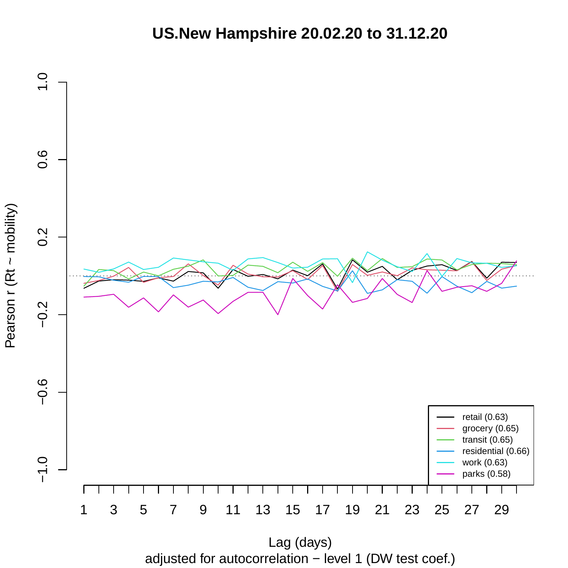#### **US.New Hampshire 20.02.20 to 31.12.20**



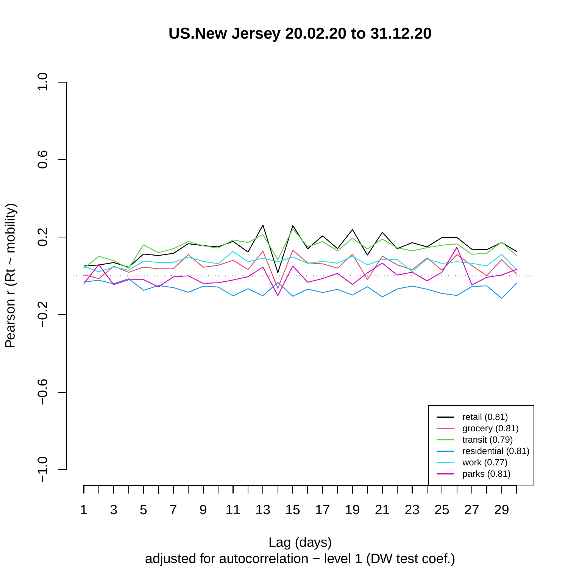**US.New Jersey 20.02.20 to 31.12.20**



adjusted for autocorrelation − level 1 (DW test coef.)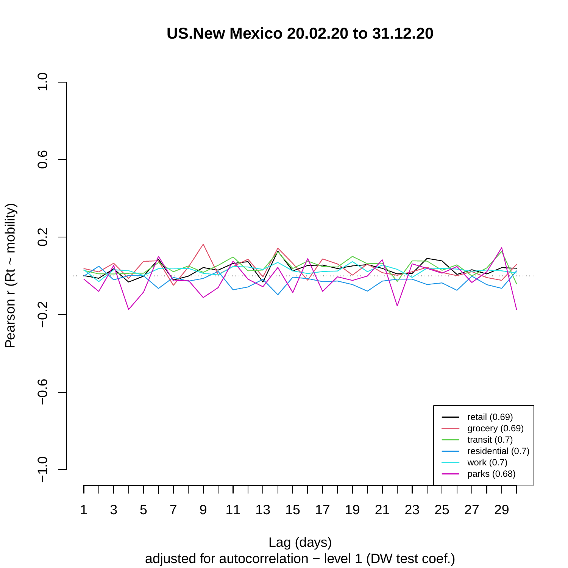**US.New Mexico 20.02.20 to 31.12.20**



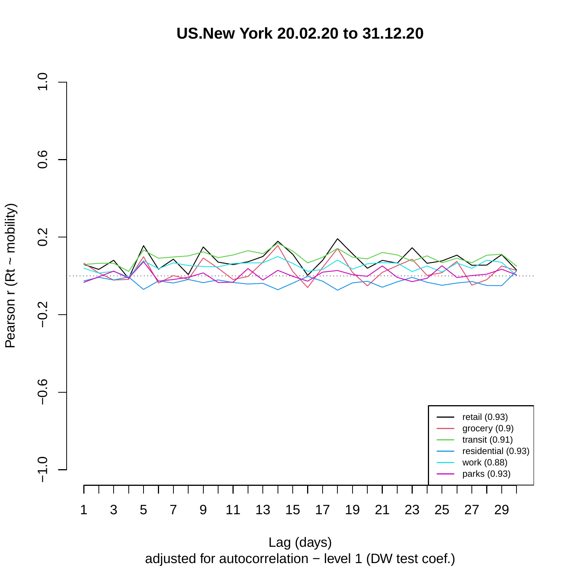**US.New York 20.02.20 to 31.12.20**



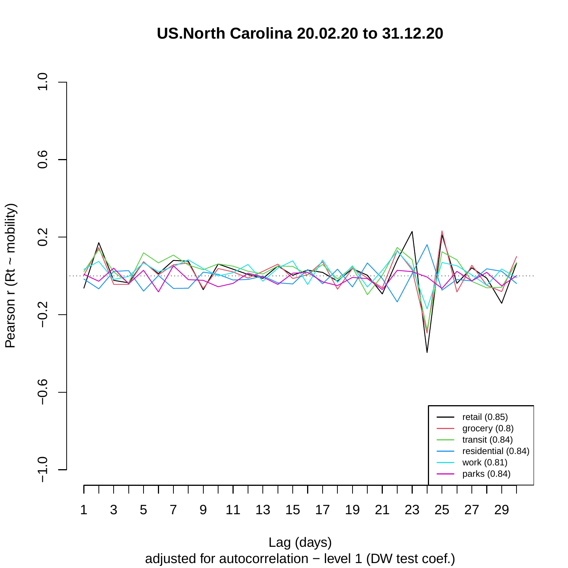# **US.North Carolina 20.02.20 to 31.12.20**



adjusted for autocorrelation − level 1 (DW test coef.)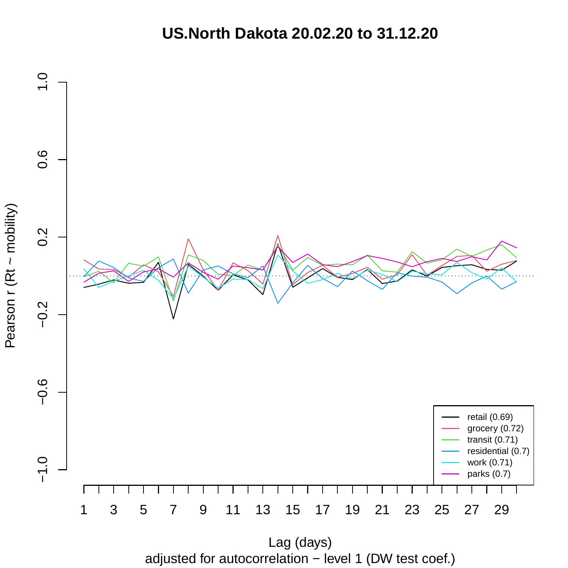# **US.North Dakota 20.02.20 to 31.12.20**



adjusted for autocorrelation − level 1 (DW test coef.)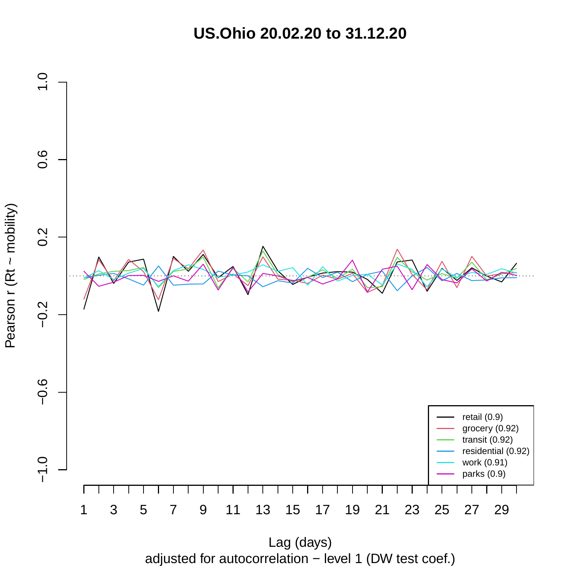**US.Ohio 20.02.20 to 31.12.20**



Pearson r (Rt ~ mobility)

adjusted for autocorrelation − level 1 (DW test coef.) Lag (days)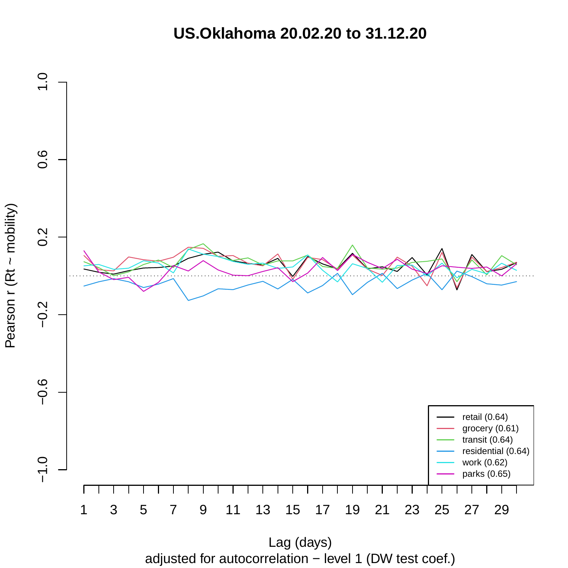**US.Oklahoma 20.02.20 to 31.12.20**



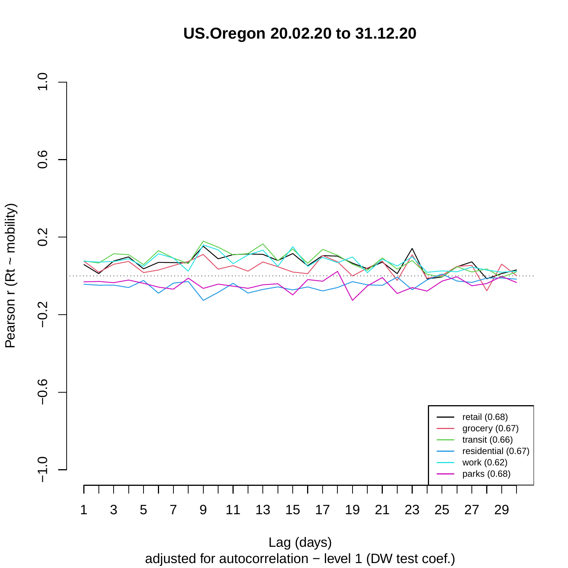**US.Oregon 20.02.20 to 31.12.20**



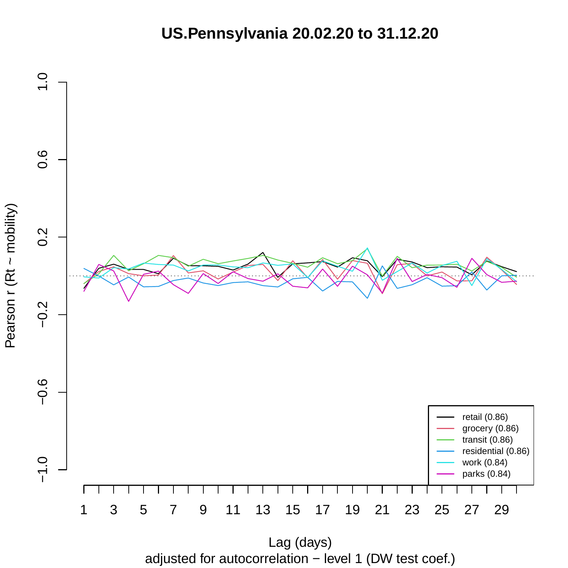**US.Pennsylvania 20.02.20 to 31.12.20**



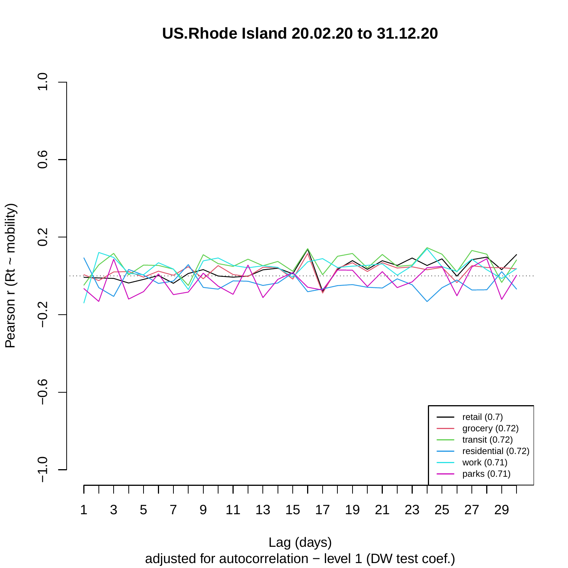**US.Rhode Island 20.02.20 to 31.12.20**



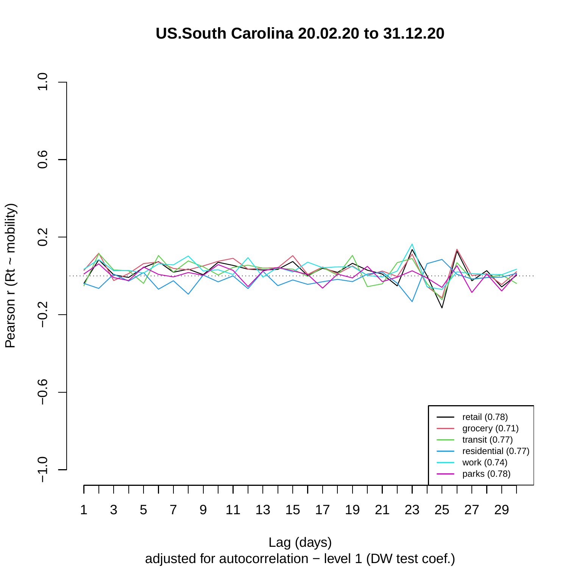# **US.South Carolina 20.02.20 to 31.12.20**



adjusted for autocorrelation − level 1 (DW test coef.)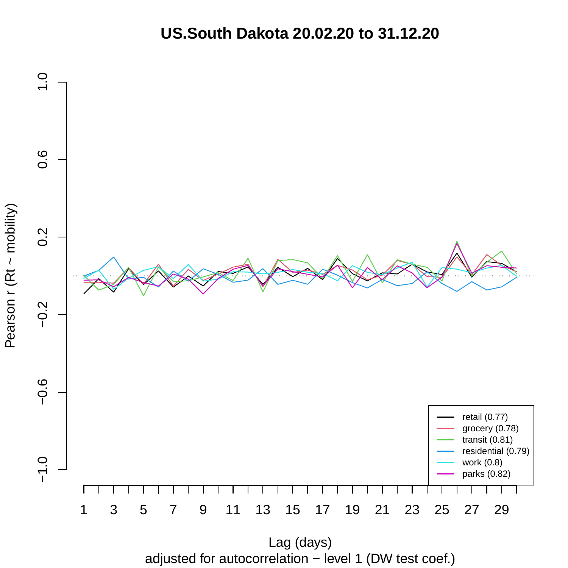**US.South Dakota 20.02.20 to 31.12.20**



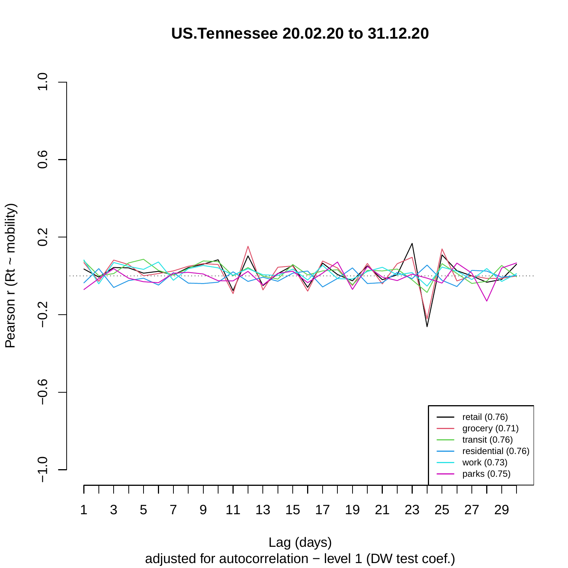**US.Tennessee 20.02.20 to 31.12.20**



Pearson r (Rt ~ mobility)

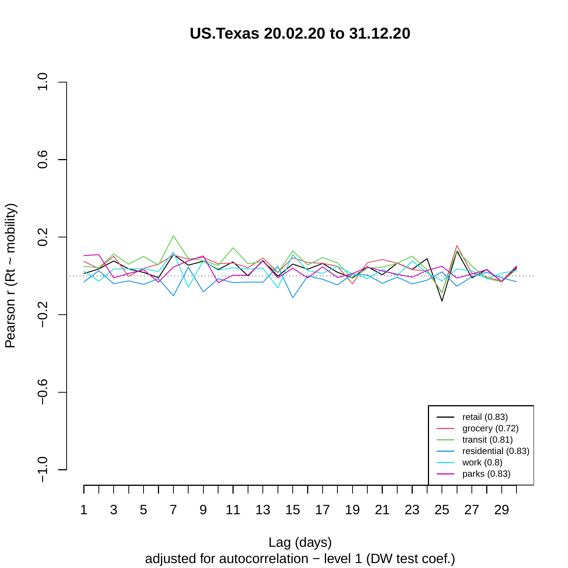**US.Texas 20.02.20 to 31.12.20**



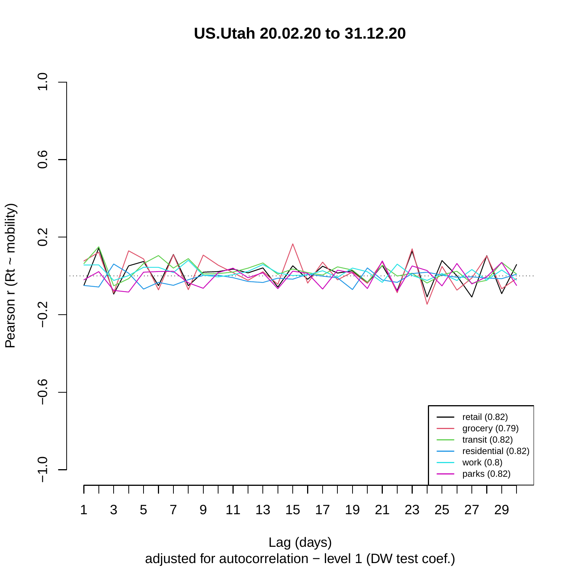**US.Utah 20.02.20 to 31.12.20**



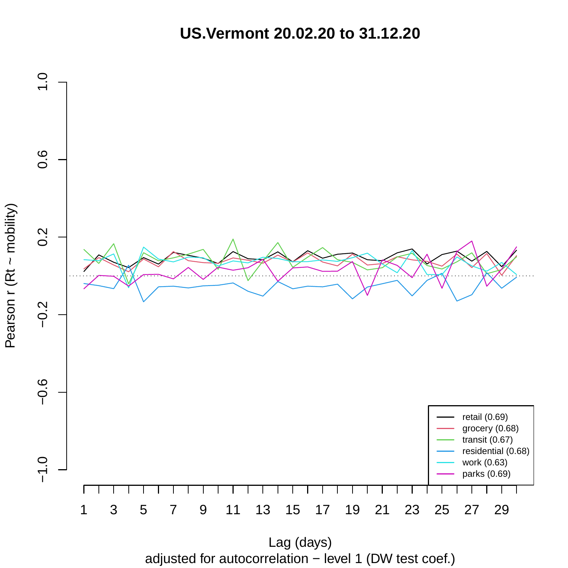**US.Vermont 20.02.20 to 31.12.20**



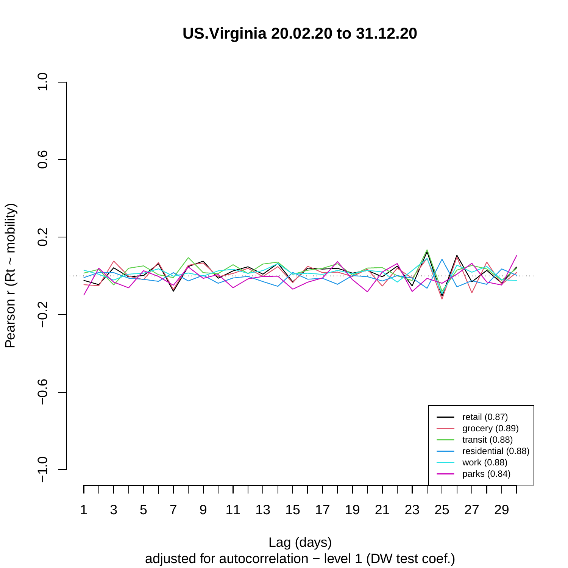**US.Virginia 20.02.20 to 31.12.20**



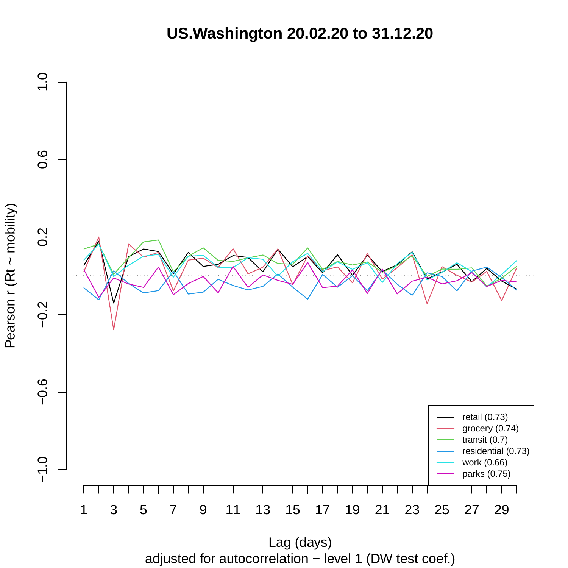**US.Washington 20.02.20 to 31.12.20**



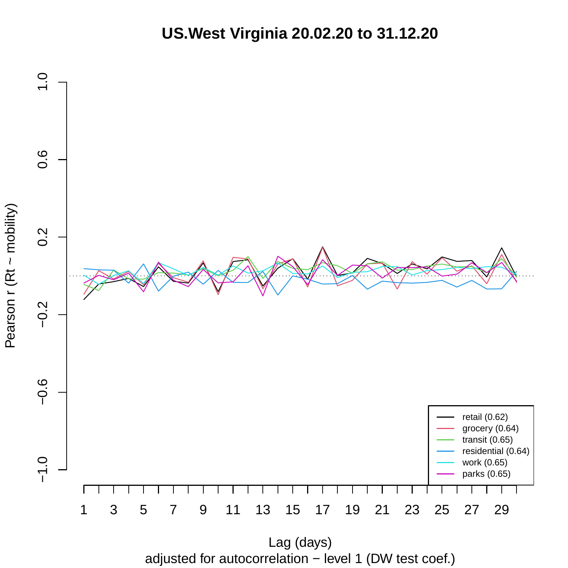**US.West Virginia 20.02.20 to 31.12.20**



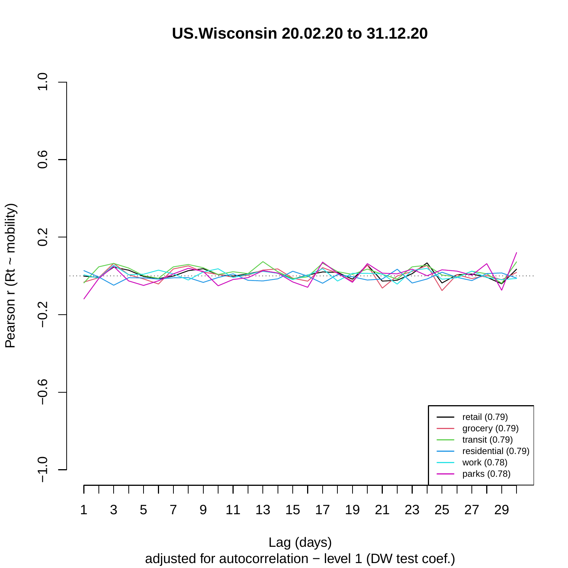**US.Wisconsin 20.02.20 to 31.12.20**